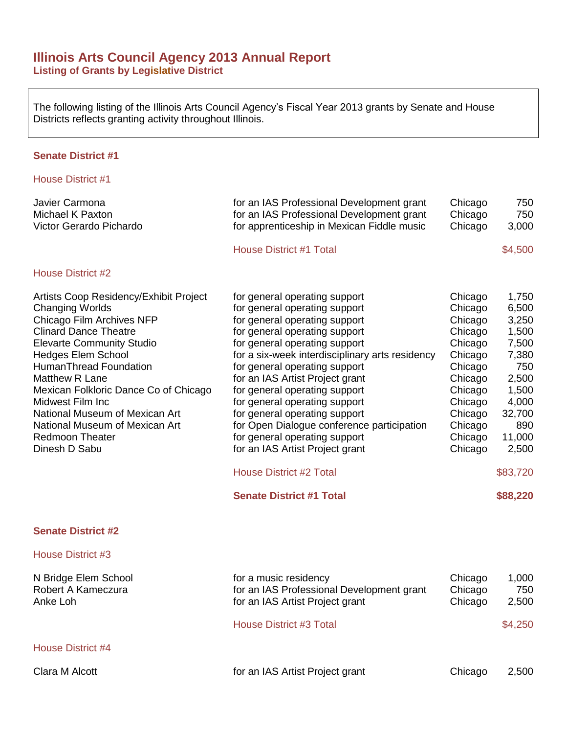# **Illinois Arts Council Agency 2013 Annual Report Listing of Grants by Legislative District**

The following listing of the Illinois Arts Council Agency's Fiscal Year 2013 grants by Senate and House Districts reflects granting activity throughout Illinois.

## **Senate District #1**

| Javier Carmona<br>Michael K Paxton<br>Victor Gerardo Pichardo                                                                                                                                                                                                                                                                                                                                                                 | for an IAS Professional Development grant<br>for an IAS Professional Development grant<br>for apprenticeship in Mexican Fiddle music                                                                                                                                                                                                                                                                                                                                                                                                                                               | Chicago<br>Chicago<br>Chicago                                                                                                                          | 750<br>750<br>3,000                                                                                                                              |
|-------------------------------------------------------------------------------------------------------------------------------------------------------------------------------------------------------------------------------------------------------------------------------------------------------------------------------------------------------------------------------------------------------------------------------|------------------------------------------------------------------------------------------------------------------------------------------------------------------------------------------------------------------------------------------------------------------------------------------------------------------------------------------------------------------------------------------------------------------------------------------------------------------------------------------------------------------------------------------------------------------------------------|--------------------------------------------------------------------------------------------------------------------------------------------------------|--------------------------------------------------------------------------------------------------------------------------------------------------|
|                                                                                                                                                                                                                                                                                                                                                                                                                               | <b>House District #1 Total</b>                                                                                                                                                                                                                                                                                                                                                                                                                                                                                                                                                     |                                                                                                                                                        | \$4,500                                                                                                                                          |
| <b>House District #2</b>                                                                                                                                                                                                                                                                                                                                                                                                      |                                                                                                                                                                                                                                                                                                                                                                                                                                                                                                                                                                                    |                                                                                                                                                        |                                                                                                                                                  |
| Artists Coop Residency/Exhibit Project<br><b>Changing Worlds</b><br>Chicago Film Archives NFP<br><b>Clinard Dance Theatre</b><br><b>Elevarte Community Studio</b><br><b>Hedges Elem School</b><br><b>HumanThread Foundation</b><br>Matthew R Lane<br>Mexican Folkloric Dance Co of Chicago<br>Midwest Film Inc<br>National Museum of Mexican Art<br>National Museum of Mexican Art<br><b>Redmoon Theater</b><br>Dinesh D Sabu | for general operating support<br>for general operating support<br>for general operating support<br>for general operating support<br>for general operating support<br>for a six-week interdisciplinary arts residency<br>for general operating support<br>for an IAS Artist Project grant<br>for general operating support<br>for general operating support<br>for general operating support<br>for Open Dialogue conference participation<br>for general operating support<br>for an IAS Artist Project grant<br><b>House District #2 Total</b><br><b>Senate District #1 Total</b> | Chicago<br>Chicago<br>Chicago<br>Chicago<br>Chicago<br>Chicago<br>Chicago<br>Chicago<br>Chicago<br>Chicago<br>Chicago<br>Chicago<br>Chicago<br>Chicago | 1,750<br>6,500<br>3,250<br>1,500<br>7,500<br>7,380<br>750<br>2,500<br>1,500<br>4,000<br>32,700<br>890<br>11,000<br>2,500<br>\$83,720<br>\$88,220 |
| <b>Senate District #2</b>                                                                                                                                                                                                                                                                                                                                                                                                     |                                                                                                                                                                                                                                                                                                                                                                                                                                                                                                                                                                                    |                                                                                                                                                        |                                                                                                                                                  |
| House District #3                                                                                                                                                                                                                                                                                                                                                                                                             |                                                                                                                                                                                                                                                                                                                                                                                                                                                                                                                                                                                    |                                                                                                                                                        |                                                                                                                                                  |
| N Rridge Flem School                                                                                                                                                                                                                                                                                                                                                                                                          | for a music residency                                                                                                                                                                                                                                                                                                                                                                                                                                                                                                                                                              | Chicago                                                                                                                                                | 1 ∩∩∩                                                                                                                                            |

| N Bridge Elem School<br>Robert A Kameczura<br>Anke Loh | for a music residency<br>for an IAS Professional Development grant<br>for an IAS Artist Project grant | Chicago<br>Chicago<br>Chicago | 1,000<br>750<br>2,500 |
|--------------------------------------------------------|-------------------------------------------------------------------------------------------------------|-------------------------------|-----------------------|
|                                                        | <b>House District #3 Total</b>                                                                        |                               | \$4,250               |
| House District #4                                      |                                                                                                       |                               |                       |
| Clara M Alcott                                         | for an IAS Artist Project grant                                                                       | Chicago                       | 2,500                 |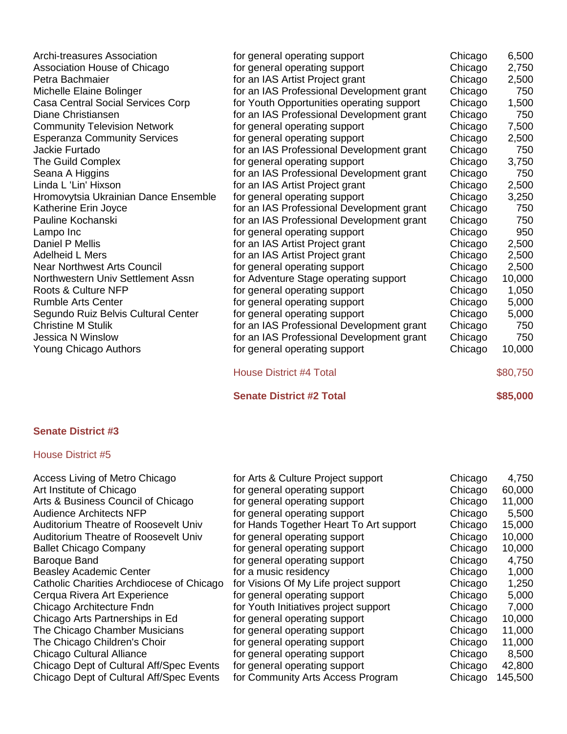| <b>Archi-treasures Association</b>   | for general operating support             | Chicago | 6,500    |
|--------------------------------------|-------------------------------------------|---------|----------|
| Association House of Chicago         | for general operating support             | Chicago | 2,750    |
| Petra Bachmaier                      | for an IAS Artist Project grant           | Chicago | 2,500    |
| Michelle Elaine Bolinger             | for an IAS Professional Development grant | Chicago | 750      |
| Casa Central Social Services Corp    | for Youth Opportunities operating support | Chicago | 1,500    |
| Diane Christiansen                   | for an IAS Professional Development grant | Chicago | 750      |
| <b>Community Television Network</b>  | for general operating support             | Chicago | 7,500    |
| <b>Esperanza Community Services</b>  | for general operating support             | Chicago | 2,500    |
| Jackie Furtado                       | for an IAS Professional Development grant | Chicago | 750      |
| The Guild Complex                    | for general operating support             | Chicago | 3,750    |
| Seana A Higgins                      | for an IAS Professional Development grant | Chicago | 750      |
| Linda L 'Lin' Hixson                 | for an IAS Artist Project grant           | Chicago | 2,500    |
| Hromovytsia Ukrainian Dance Ensemble | for general operating support             | Chicago | 3,250    |
| Katherine Erin Joyce                 | for an IAS Professional Development grant | Chicago | 750      |
| Pauline Kochanski                    | for an IAS Professional Development grant | Chicago | 750      |
| Lampo Inc                            | for general operating support             | Chicago | 950      |
| Daniel P Mellis                      | for an IAS Artist Project grant           | Chicago | 2,500    |
| <b>Adelheid L Mers</b>               | for an IAS Artist Project grant           | Chicago | 2,500    |
| <b>Near Northwest Arts Council</b>   | for general operating support             | Chicago | 2,500    |
| Northwestern Univ Settlement Assn    | for Adventure Stage operating support     | Chicago | 10,000   |
| Roots & Culture NFP                  | for general operating support             | Chicago | 1,050    |
| <b>Rumble Arts Center</b>            | for general operating support             | Chicago | 5,000    |
| Segundo Ruiz Belvis Cultural Center  | for general operating support             | Chicago | 5,000    |
| <b>Christine M Stulik</b>            | for an IAS Professional Development grant | Chicago | 750      |
| Jessica N Winslow                    | for an IAS Professional Development grant | Chicago | 750      |
| Young Chicago Authors                | for general operating support             | Chicago | 10,000   |
|                                      | <b>House District #4 Total</b>            |         | \$80,750 |

# **Senate District #2 Total \$85,000**

# **Senate District #3**

| Access Living of Metro Chicago              | for Arts & Culture Project support      | Chicago | 4,750   |
|---------------------------------------------|-----------------------------------------|---------|---------|
| Art Institute of Chicago                    | for general operating support           | Chicago | 60,000  |
| Arts & Business Council of Chicago          | for general operating support           | Chicago | 11,000  |
| <b>Audience Architects NFP</b>              | for general operating support           | Chicago | 5,500   |
| <b>Auditorium Theatre of Roosevelt Univ</b> | for Hands Together Heart To Art support | Chicago | 15,000  |
| <b>Auditorium Theatre of Roosevelt Univ</b> | for general operating support           | Chicago | 10,000  |
| <b>Ballet Chicago Company</b>               | for general operating support           | Chicago | 10,000  |
| Baroque Band                                | for general operating support           | Chicago | 4,750   |
| <b>Beasley Academic Center</b>              | for a music residency                   | Chicago | 1,000   |
| Catholic Charities Archdiocese of Chicago   | for Visions Of My Life project support  | Chicago | 1,250   |
| Cerqua Rivera Art Experience                | for general operating support           | Chicago | 5,000   |
| Chicago Architecture Fndn                   | for Youth Initiatives project support   | Chicago | 7,000   |
| Chicago Arts Partnerships in Ed             | for general operating support           | Chicago | 10,000  |
| The Chicago Chamber Musicians               | for general operating support           | Chicago | 11,000  |
| The Chicago Children's Choir                | for general operating support           | Chicago | 11,000  |
| Chicago Cultural Alliance                   | for general operating support           | Chicago | 8,500   |
| Chicago Dept of Cultural Aff/Spec Events    | for general operating support           | Chicago | 42,800  |
| Chicago Dept of Cultural Aff/Spec Events    | for Community Arts Access Program       | Chicago | 145,500 |
|                                             |                                         |         |         |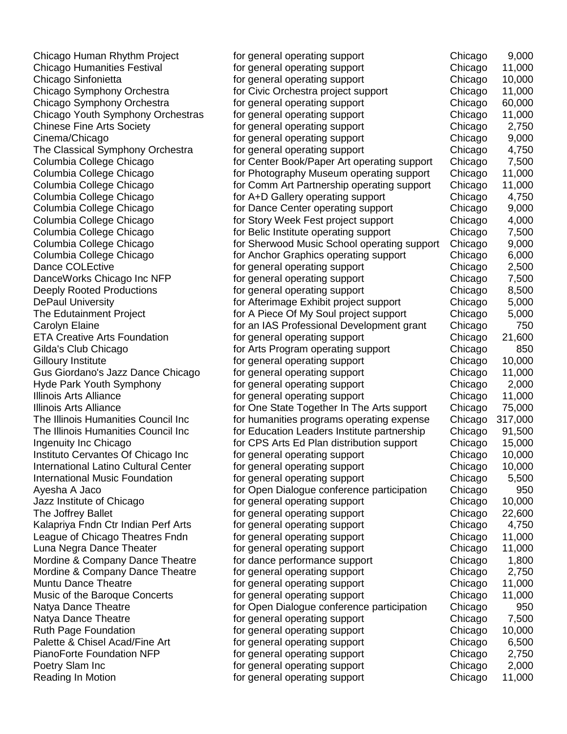Chicago Human Rhythm Project for general operating support Chicago 9,000 Chicago Humanities Festival for general operating support Chicago 11,000 Chicago Sinfonietta for general operating support Chicago 10,000 Chicago Symphony Orchestra **for Civic Orchestra project support** Chicago 11,000 Chicago Symphony Orchestra **for general operating support** Chicago 60,000 Chicago Youth Symphony Orchestras for general operating support Chicago 11,000 Chinese Fine Arts Society **for general operating support** Chicago 2,750 Cinema/Chicago for general operating support Chicago 9,000 The Classical Symphony Orchestra for general operating support Chicago 4,750 Columbia College Chicago **Form Center Book/Paper Art operating support** Chicago 7,500 Columbia College Chicago **for Photography Museum operating support** Chicago 11,000 Columbia College Chicago **for Comm Art Partnership operating support** Chicago 11,000 Columbia College Chicago **for A+D Gallery operating support** Chicago 4,750 Columbia College Chicago **for Dance Center operating support** Chicago 9,000 Columbia College Chicago for Story Week Fest project support Chicago 4,000 Columbia College Chicago **for Belic Institute operating support** Chicago 7,500 Columbia College Chicago for Sherwood Music School operating support Chicago 9,000 Columbia College Chicago **for Anchor Graphics operating support** Chicago 6,000 Dance COLEctive **for general operating support** Chicago 2,500 DanceWorks Chicago Inc NFP for general operating support Chicago 7,500 Deeply Rooted Productions **for general operating support** Chicago 8,500 DePaul University **Formul Chicago 19** for Afterimage Exhibit project support Chicago 5,000 The Edutainment Project **for A Piece Of My Soul project support** Chicago 5,000 Carolyn Elaine for an IAS Professional Development grant Chicago 750 ETA Creative Arts Foundation **Figure 1.600** for general operating support **Figure 21.600** Chicago 21,600 Gilda's Club Chicago **for Arts Program operating support** Chicago 850 Gilloury Institute **Formula** is the second operating support **Formula** Chicago 10,000 Gus Giordano's Jazz Dance Chicago for general operating support Chicago 11,000 Hyde Park Youth Symphony **the Chicago and Symphony** for general operating support **For Chicago** 2,000 Illinois Arts Alliance **for general operating support** Chicago 11,000 Illinois Arts Alliance **for One State Together In The Arts support** Chicago 75,000 The Illinois Humanities Council Inc for humanities programs operating expense Chicago 317,000 The Illinois Humanities Council Inc for Education Leaders Institute partnership Chicago 91,500 Ingenuity Inc Chicago **for CPS** Arts Ed Plan distribution support Chicago 15,000 Instituto Cervantes Of Chicago Inc for general operating support Chicago 10,000 International Latino Cultural Center for general operating support Chicago 10,000 International Music Foundation **for general operating support** Chicago 5,500 Ayesha A Jaco **Form 20 Franch Chicago 1950** for Open Dialogue conference participation Chicago 950 Jazz Institute of Chicago for general operating support Chicago 10,000 The Joffrey Ballet **Form Chicago 22,600 for general operating support** Chicago 22,600 Kalapriya Fndn Ctr Indian Perf Arts for general operating support Chicago 4,750 League of Chicago Theatres Fndn for general operating support Chicago 11,000 Luna Negra Dance Theater for general operating support **For Chicago 11,000** Mordine & Company Dance Theatre for dance performance support **For Chicago** 1,800 Mordine & Company Dance Theatre for general operating support **Formula** Chicago 2,750 Muntu Dance Theatre **Form the accomputer of the contract operating support Form Theory** Chicago 11,000 Music of the Baroque Concerts for general operating support Chicago 11,000 Natya Dance Theatre **for Chicago** for Open Dialogue conference participation Chicago 950 Natya Dance Theatre form the for general operating support form of the Chicago 7,500 Ruth Page Foundation **Form in the Chicago 10,000** for general operating support **Form Chicago** 10,000 Palette & Chisel Acad/Fine Art for general operating support Chicago 6,500 PianoForte Foundation NFP for general operating support Chicago 2,750 Poetry Slam Inc **Form 2,000** for general operating support **Form 2,000** Chicago 2,000 Reading In Motion **Form 11,000** for general operating support **Form 11,000** Chicago 11,000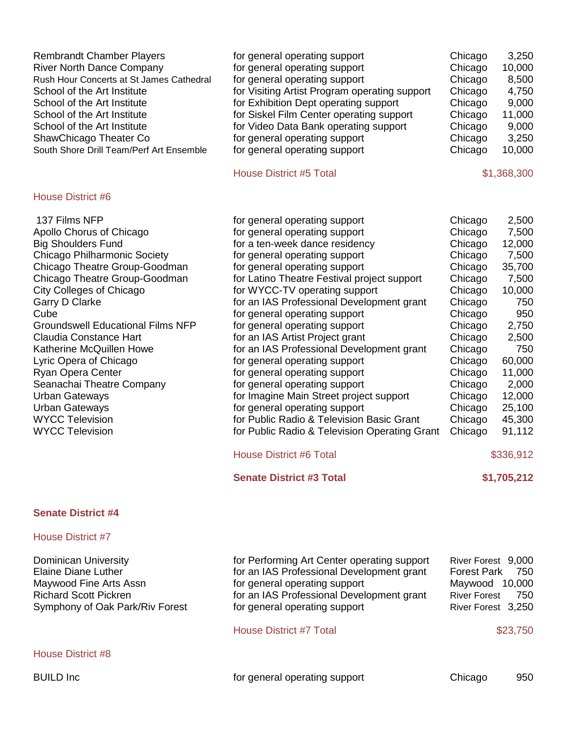| <b>Rembrandt Chamber Players</b><br><b>River North Dance Company</b><br>Rush Hour Concerts at St James Cathedral<br>School of the Art Institute<br>School of the Art Institute<br>School of the Art Institute<br>School of the Art Institute<br>ShawChicago Theater Co<br>South Shore Drill Team/Perf Art Ensemble                                                                                                                                                                                                                      | for general operating support<br>for general operating support<br>for general operating support<br>for Visiting Artist Program operating support<br>for Exhibition Dept operating support<br>for Siskel Film Center operating support<br>for Video Data Bank operating support<br>for general operating support<br>for general operating support<br><b>House District #5 Total</b>                                                                                                                                                                                                                                                                                                                                             | Chicago<br>3,250<br>10,000<br>Chicago<br>Chicago<br>8,500<br>Chicago<br>4,750<br>9,000<br>Chicago<br>11,000<br>Chicago<br>Chicago<br>9,000<br>Chicago<br>3,250<br>Chicago<br>10,000<br>\$1,368,300                                                                                                                                                                                          |  |
|-----------------------------------------------------------------------------------------------------------------------------------------------------------------------------------------------------------------------------------------------------------------------------------------------------------------------------------------------------------------------------------------------------------------------------------------------------------------------------------------------------------------------------------------|--------------------------------------------------------------------------------------------------------------------------------------------------------------------------------------------------------------------------------------------------------------------------------------------------------------------------------------------------------------------------------------------------------------------------------------------------------------------------------------------------------------------------------------------------------------------------------------------------------------------------------------------------------------------------------------------------------------------------------|---------------------------------------------------------------------------------------------------------------------------------------------------------------------------------------------------------------------------------------------------------------------------------------------------------------------------------------------------------------------------------------------|--|
| House District #6                                                                                                                                                                                                                                                                                                                                                                                                                                                                                                                       |                                                                                                                                                                                                                                                                                                                                                                                                                                                                                                                                                                                                                                                                                                                                |                                                                                                                                                                                                                                                                                                                                                                                             |  |
| 137 Films NFP<br>Apollo Chorus of Chicago<br><b>Big Shoulders Fund</b><br><b>Chicago Philharmonic Society</b><br>Chicago Theatre Group-Goodman<br>Chicago Theatre Group-Goodman<br><b>City Colleges of Chicago</b><br>Garry D Clarke<br>Cube<br><b>Groundswell Educational Films NFP</b><br><b>Claudia Constance Hart</b><br>Katherine McQuillen Howe<br>Lyric Opera of Chicago<br>Ryan Opera Center<br>Seanachai Theatre Company<br><b>Urban Gateways</b><br><b>Urban Gateways</b><br><b>WYCC Television</b><br><b>WYCC Television</b> | for general operating support<br>for general operating support<br>for a ten-week dance residency<br>for general operating support<br>for general operating support<br>for Latino Theatre Festival project support<br>for WYCC-TV operating support<br>for an IAS Professional Development grant<br>for general operating support<br>for general operating support<br>for an IAS Artist Project grant<br>for an IAS Professional Development grant<br>for general operating support<br>for general operating support<br>for general operating support<br>for Imagine Main Street project support<br>for general operating support<br>for Public Radio & Television Basic Grant<br>for Public Radio & Television Operating Grant | 2,500<br>Chicago<br>7,500<br>Chicago<br>Chicago<br>12,000<br>Chicago<br>7,500<br>35,700<br>Chicago<br>Chicago<br>7,500<br>Chicago<br>10,000<br>Chicago<br>750<br>950<br>Chicago<br>Chicago<br>2,750<br>Chicago<br>2,500<br>750<br>Chicago<br>Chicago<br>60,000<br>Chicago<br>11,000<br>Chicago<br>2,000<br>12,000<br>Chicago<br>Chicago<br>25,100<br>Chicago<br>45,300<br>91,112<br>Chicago |  |
|                                                                                                                                                                                                                                                                                                                                                                                                                                                                                                                                         | <b>House District #6 Total</b>                                                                                                                                                                                                                                                                                                                                                                                                                                                                                                                                                                                                                                                                                                 | \$336,912                                                                                                                                                                                                                                                                                                                                                                                   |  |
|                                                                                                                                                                                                                                                                                                                                                                                                                                                                                                                                         | <b>Senate District #3 Total</b>                                                                                                                                                                                                                                                                                                                                                                                                                                                                                                                                                                                                                                                                                                | \$1,705,212                                                                                                                                                                                                                                                                                                                                                                                 |  |
| <b>Senate District #4</b>                                                                                                                                                                                                                                                                                                                                                                                                                                                                                                               |                                                                                                                                                                                                                                                                                                                                                                                                                                                                                                                                                                                                                                                                                                                                |                                                                                                                                                                                                                                                                                                                                                                                             |  |
| <b>House District #7</b>                                                                                                                                                                                                                                                                                                                                                                                                                                                                                                                |                                                                                                                                                                                                                                                                                                                                                                                                                                                                                                                                                                                                                                                                                                                                |                                                                                                                                                                                                                                                                                                                                                                                             |  |
| Dominican University<br><b>Elaine Diane Luther</b><br>Maywood Fine Arts Assn<br><b>Richard Scott Pickren</b><br>Symphony of Oak Park/Riv Forest                                                                                                                                                                                                                                                                                                                                                                                         | for Performing Art Center operating support<br>for an IAS Professional Development grant<br>for general operating support<br>for an IAS Professional Development grant<br>for general operating support                                                                                                                                                                                                                                                                                                                                                                                                                                                                                                                        | River Forest 9,000<br><b>Forest Park</b><br>750<br>Maywood 10,000<br><b>River Forest</b><br>750<br>River Forest 3,250                                                                                                                                                                                                                                                                       |  |
|                                                                                                                                                                                                                                                                                                                                                                                                                                                                                                                                         | <b>House District #7 Total</b>                                                                                                                                                                                                                                                                                                                                                                                                                                                                                                                                                                                                                                                                                                 | \$23,750                                                                                                                                                                                                                                                                                                                                                                                    |  |
| <b>House District #8</b>                                                                                                                                                                                                                                                                                                                                                                                                                                                                                                                |                                                                                                                                                                                                                                                                                                                                                                                                                                                                                                                                                                                                                                                                                                                                |                                                                                                                                                                                                                                                                                                                                                                                             |  |
| <b>BUILD Inc</b>                                                                                                                                                                                                                                                                                                                                                                                                                                                                                                                        | for general operating support                                                                                                                                                                                                                                                                                                                                                                                                                                                                                                                                                                                                                                                                                                  | Chicago<br>950                                                                                                                                                                                                                                                                                                                                                                              |  |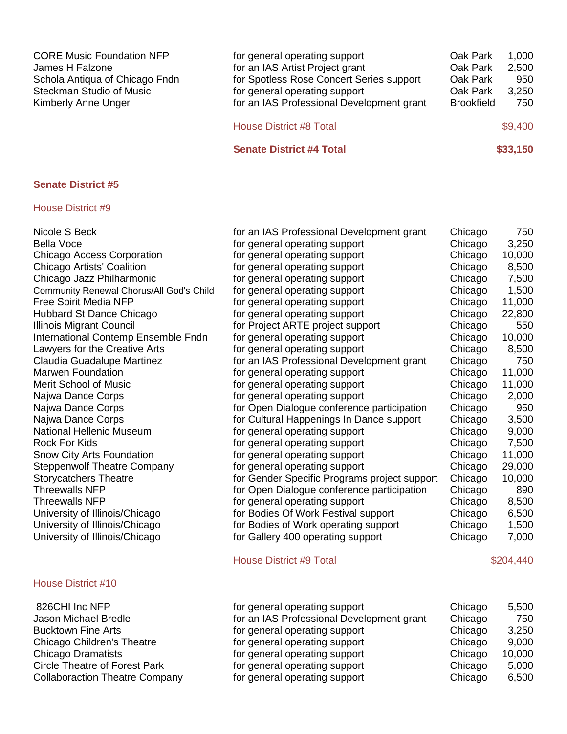| <b>CORE Music Foundation NFP</b><br>James H Falzone<br>Schola Antiqua of Chicago Fndn<br><b>Steckman Studio of Music</b><br>Kimberly Anne Unger | for general operating support<br>for an IAS Artist Project grant<br>for Spotless Rose Concert Series support<br>for general operating support<br>for an IAS Professional Development grant | Oak Park<br>Oak Park<br>Oak Park<br>Oak Park<br><b>Brookfield</b> | 1,000<br>2,500<br>950<br>3,250<br>750 |
|-------------------------------------------------------------------------------------------------------------------------------------------------|--------------------------------------------------------------------------------------------------------------------------------------------------------------------------------------------|-------------------------------------------------------------------|---------------------------------------|
|                                                                                                                                                 | <b>House District #8 Total</b>                                                                                                                                                             |                                                                   | \$9,400                               |
|                                                                                                                                                 | <b>Senate District #4 Total</b>                                                                                                                                                            |                                                                   | \$33,150                              |

#### House District #9

| Nicole S Beck                            | for an IAS Professional Development grant    | Chicago | 750       |
|------------------------------------------|----------------------------------------------|---------|-----------|
| <b>Bella Voce</b>                        | for general operating support                | Chicago | 3,250     |
| <b>Chicago Access Corporation</b>        | for general operating support                | Chicago | 10,000    |
| Chicago Artists' Coalition               | for general operating support                | Chicago | 8,500     |
| Chicago Jazz Philharmonic                | for general operating support                | Chicago | 7,500     |
| Community Renewal Chorus/All God's Child | for general operating support                | Chicago | 1,500     |
| Free Spirit Media NFP                    | for general operating support                | Chicago | 11,000    |
| Hubbard St Dance Chicago                 | for general operating support                | Chicago | 22,800    |
| <b>Illinois Migrant Council</b>          | for Project ARTE project support             | Chicago | 550       |
| International Contemp Ensemble Fndn      | for general operating support                | Chicago | 10,000    |
| Lawyers for the Creative Arts            | for general operating support                | Chicago | 8,500     |
| Claudia Guadalupe Martinez               | for an IAS Professional Development grant    | Chicago | 750       |
| <b>Marwen Foundation</b>                 | for general operating support                | Chicago | 11,000    |
| <b>Merit School of Music</b>             | for general operating support                | Chicago | 11,000    |
| Najwa Dance Corps                        | for general operating support                | Chicago | 2,000     |
| Najwa Dance Corps                        | for Open Dialogue conference participation   | Chicago | 950       |
| Najwa Dance Corps                        | for Cultural Happenings In Dance support     | Chicago | 3,500     |
| National Hellenic Museum                 | for general operating support                | Chicago | 9,000     |
| <b>Rock For Kids</b>                     | for general operating support                | Chicago | 7,500     |
| Snow City Arts Foundation                | for general operating support                | Chicago | 11,000    |
| <b>Steppenwolf Theatre Company</b>       | for general operating support                | Chicago | 29,000    |
| <b>Storycatchers Theatre</b>             | for Gender Specific Programs project support | Chicago | 10,000    |
| Threewalls NFP                           | for Open Dialogue conference participation   | Chicago | 890       |
| <b>Threewalls NFP</b>                    | for general operating support                | Chicago | 8,500     |
| University of Illinois/Chicago           | for Bodies Of Work Festival support          | Chicago | 6,500     |
| University of Illinois/Chicago           | for Bodies of Work operating support         | Chicago | 1,500     |
| University of Illinois/Chicago           | for Gallery 400 operating support            | Chicago | 7,000     |
|                                          | <b>House District #9 Total</b>               |         | \$204,440 |

| 826CHI Inc NFP                        |
|---------------------------------------|
| Jason Michael Bredle                  |
| <b>Bucktown Fine Arts</b>             |
| Chicago Children's Theatre            |
| <b>Chicago Dramatists</b>             |
| <b>Circle Theatre of Forest Park</b>  |
| <b>Collaboraction Theatre Company</b> |

| 826CHI Inc NFP                        | for general operating support             | Chicago | 5,500  |
|---------------------------------------|-------------------------------------------|---------|--------|
| Jason Michael Bredle                  | for an IAS Professional Development grant | Chicago | 750    |
| <b>Bucktown Fine Arts</b>             | for general operating support             | Chicago | 3,250  |
| Chicago Children's Theatre            | for general operating support             | Chicago | 9,000  |
| Chicago Dramatists                    | for general operating support             | Chicago | 10,000 |
| <b>Circle Theatre of Forest Park</b>  | for general operating support             | Chicago | 5,000  |
| <b>Collaboraction Theatre Company</b> | for general operating support             | Chicago | 6,500  |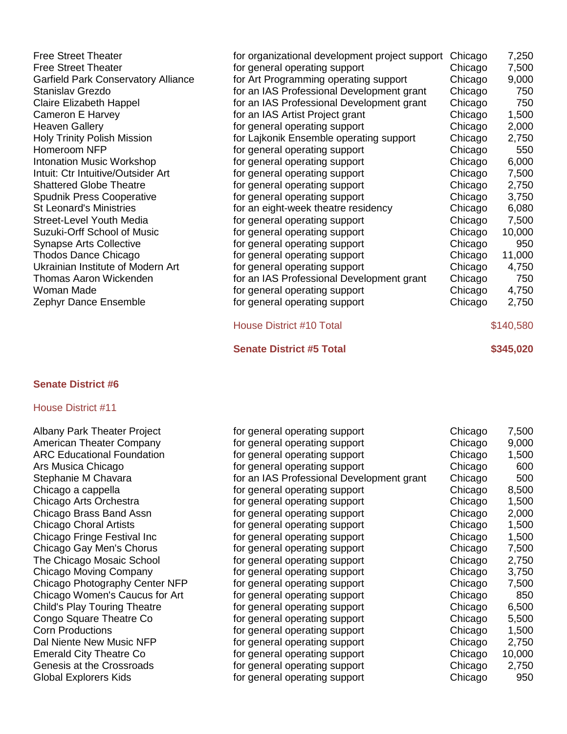| <b>Free Street Theater</b>                 | for organizational development project support | Chicago | 7,250     |
|--------------------------------------------|------------------------------------------------|---------|-----------|
| <b>Free Street Theater</b>                 | for general operating support                  | Chicago | 7,500     |
| <b>Garfield Park Conservatory Alliance</b> | for Art Programming operating support          | Chicago | 9,000     |
| Stanislav Grezdo                           | for an IAS Professional Development grant      | Chicago | 750       |
| <b>Claire Elizabeth Happel</b>             | for an IAS Professional Development grant      | Chicago | 750       |
| <b>Cameron E Harvey</b>                    | for an IAS Artist Project grant                | Chicago | 1,500     |
| <b>Heaven Gallery</b>                      | for general operating support                  | Chicago | 2,000     |
| <b>Holy Trinity Polish Mission</b>         | for Lajkonik Ensemble operating support        | Chicago | 2,750     |
| Homeroom NFP                               | for general operating support                  | Chicago | 550       |
| Intonation Music Workshop                  | for general operating support                  | Chicago | 6,000     |
| Intuit: Ctr Intuitive/Outsider Art         | for general operating support                  | Chicago | 7,500     |
| <b>Shattered Globe Theatre</b>             | for general operating support                  | Chicago | 2,750     |
| <b>Spudnik Press Cooperative</b>           | for general operating support                  | Chicago | 3,750     |
| <b>St Leonard's Ministries</b>             | for an eight-week theatre residency            | Chicago | 6,080     |
| <b>Street-Level Youth Media</b>            | for general operating support                  | Chicago | 7,500     |
| Suzuki-Orff School of Music                | for general operating support                  | Chicago | 10,000    |
| <b>Synapse Arts Collective</b>             | for general operating support                  | Chicago | 950       |
| Thodos Dance Chicago                       | for general operating support                  | Chicago | 11,000    |
| Ukrainian Institute of Modern Art          | for general operating support                  | Chicago | 4,750     |
| Thomas Aaron Wickenden                     | for an IAS Professional Development grant      | Chicago | 750       |
| Woman Made                                 | for general operating support                  | Chicago | 4,750     |
| Zephyr Dance Ensemble                      | for general operating support                  | Chicago | 2,750     |
|                                            | <b>House District #10 Total</b>                |         | \$140,580 |

- **Senate District #5 Total \$345,020**
- 

#### House District #11

Albany Park Theater Project American Theater Company ARC Educational Foundation Ars Musica Chicago Stephanie M Chavara Chicago a cappella Chicago Arts Orchestra Chicago Brass Band Assn Chicago Choral Artists Chicago Fringe Festival Inc Chicago Gay Men's Chorus The Chicago Mosaic School Chicago Moving Company Chicago Photography Center NFP Chicago Women's Caucus for Art Child's Play Touring Theatre Congo Square Theatre Co Corn Productions Dal Niente New Music NFP Emerald City Theatre Co Genesis at the Crossroads Global Explorers Kids

| for general operating support             | Chicago | 7,500  |
|-------------------------------------------|---------|--------|
| for general operating support             | Chicago | 9,000  |
| for general operating support             | Chicago | 1,500  |
| for general operating support             | Chicago | 600    |
| for an IAS Professional Development grant | Chicago | 500    |
| for general operating support             | Chicago | 8,500  |
| for general operating support             | Chicago | 1,500  |
| for general operating support             | Chicago | 2,000  |
| for general operating support             | Chicago | 1,500  |
| for general operating support             | Chicago | 1,500  |
| for general operating support             | Chicago | 7,500  |
| for general operating support             | Chicago | 2,750  |
| for general operating support             | Chicago | 3,750  |
| for general operating support             | Chicago | 7,500  |
| for general operating support             | Chicago | 850    |
| for general operating support             | Chicago | 6,500  |
| for general operating support             | Chicago | 5,500  |
| for general operating support             | Chicago | 1,500  |
| for general operating support             | Chicago | 2,750  |
| for general operating support             | Chicago | 10,000 |
| for general operating support             | Chicago | 2,750  |
| for general operating support             | Chicago | 950    |
|                                           |         |        |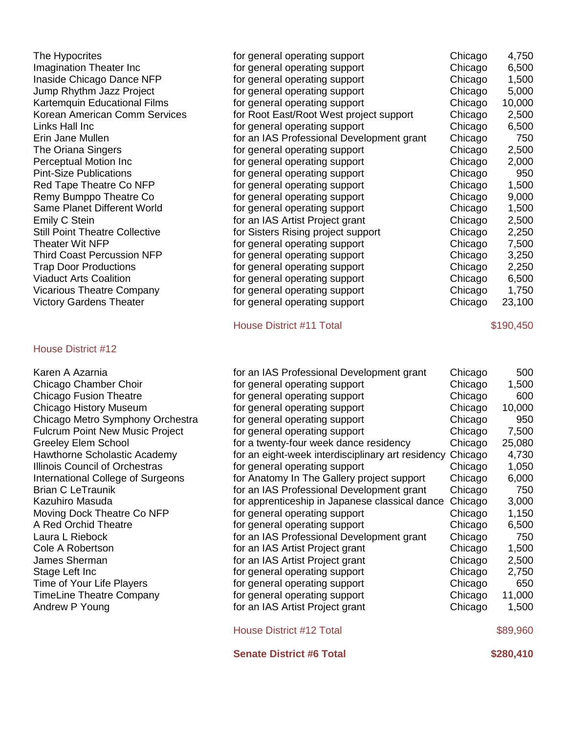| The Hypocrites                        | for general operating support             | Chicago | 4,750     |
|---------------------------------------|-------------------------------------------|---------|-----------|
| Imagination Theater Inc               | for general operating support             | Chicago | 6,500     |
| Inaside Chicago Dance NFP             | for general operating support             | Chicago | 1,500     |
| Jump Rhythm Jazz Project              | for general operating support             | Chicago | 5,000     |
| Kartemquin Educational Films          | for general operating support             | Chicago | 10,000    |
| Korean American Comm Services         | for Root East/Root West project support   | Chicago | 2,500     |
| Links Hall Inc                        | for general operating support             | Chicago | 6,500     |
| Erin Jane Mullen                      | for an IAS Professional Development grant | Chicago | 750       |
| The Oriana Singers                    | for general operating support             | Chicago | 2,500     |
| Perceptual Motion Inc                 | for general operating support             | Chicago | 2,000     |
| <b>Pint-Size Publications</b>         | for general operating support             | Chicago | 950       |
| Red Tape Theatre Co NFP               | for general operating support             | Chicago | 1,500     |
| Remy Bumppo Theatre Co                | for general operating support             | Chicago | 9,000     |
| Same Planet Different World           | for general operating support             | Chicago | 1,500     |
| Emily C Stein                         | for an IAS Artist Project grant           | Chicago | 2,500     |
| <b>Still Point Theatre Collective</b> | for Sisters Rising project support        | Chicago | 2,250     |
| Theater Wit NFP                       | for general operating support             | Chicago | 7,500     |
| <b>Third Coast Percussion NFP</b>     | for general operating support             | Chicago | 3,250     |
| <b>Trap Door Productions</b>          | for general operating support             | Chicago | 2,250     |
| <b>Viaduct Arts Coalition</b>         | for general operating support             | Chicago | 6,500     |
| <b>Vicarious Theatre Company</b>      | for general operating support             | Chicago | 1,750     |
| <b>Victory Gardens Theater</b>        | for general operating support             | Chicago | 23,100    |
|                                       | <b>House District #11 Total</b>           |         | \$190,450 |
| House District #12                    |                                           |         |           |

| Karen A Azarnia                        | for an IAS Professional Development grant         | Chicago | 500      |
|----------------------------------------|---------------------------------------------------|---------|----------|
| Chicago Chamber Choir                  | for general operating support                     | Chicago | 1,500    |
| <b>Chicago Fusion Theatre</b>          | for general operating support                     | Chicago | 600      |
| Chicago History Museum                 | for general operating support                     | Chicago | 10,000   |
| Chicago Metro Symphony Orchestra       | for general operating support                     | Chicago | 950      |
| <b>Fulcrum Point New Music Project</b> | for general operating support                     | Chicago | 7,500    |
| Greeley Elem School                    | for a twenty-four week dance residency            | Chicago | 25,080   |
| Hawthorne Scholastic Academy           | for an eight-week interdisciplinary art residency | Chicago | 4,730    |
| Illinois Council of Orchestras         | for general operating support                     | Chicago | 1,050    |
| International College of Surgeons      | for Anatomy In The Gallery project support        | Chicago | 6,000    |
| <b>Brian C LeTraunik</b>               | for an IAS Professional Development grant         | Chicago | 750      |
| Kazuhiro Masuda                        | for apprenticeship in Japanese classical dance    | Chicago | 3,000    |
| Moving Dock Theatre Co NFP             | for general operating support                     | Chicago | 1,150    |
| A Red Orchid Theatre                   | for general operating support                     | Chicago | 6,500    |
| Laura L Riebock                        | for an IAS Professional Development grant         | Chicago | 750      |
| Cole A Robertson                       | for an IAS Artist Project grant                   | Chicago | 1,500    |
| James Sherman                          | for an IAS Artist Project grant                   | Chicago | 2,500    |
| Stage Left Inc                         | for general operating support                     | Chicago | 2,750    |
| Time of Your Life Players              | for general operating support                     | Chicago | 650      |
| TimeLine Theatre Company               | for general operating support                     | Chicago | 11,000   |
| Andrew P Young                         | for an IAS Artist Project grant                   | Chicago | 1,500    |
|                                        | <b>House District #12 Total</b>                   |         | \$89,960 |
|                                        |                                                   |         |          |

**Senate District #6 Total <b>\$280,410**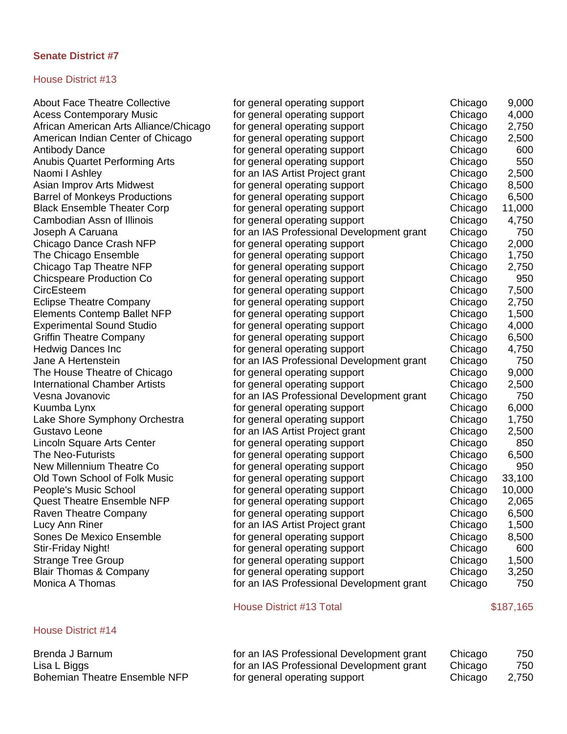## House District #13

| <b>About Face Theatre Collective</b>   | for general operating support             | Chicago | 9,000     |
|----------------------------------------|-------------------------------------------|---------|-----------|
| <b>Acess Contemporary Music</b>        | for general operating support             | Chicago | 4,000     |
| African American Arts Alliance/Chicago | for general operating support             | Chicago | 2,750     |
| American Indian Center of Chicago      | for general operating support             | Chicago | 2,500     |
| <b>Antibody Dance</b>                  | for general operating support             | Chicago | 600       |
| <b>Anubis Quartet Performing Arts</b>  | for general operating support             | Chicago | 550       |
| Naomi I Ashley                         | for an IAS Artist Project grant           | Chicago | 2,500     |
| Asian Improv Arts Midwest              | for general operating support             | Chicago | 8,500     |
| <b>Barrel of Monkeys Productions</b>   | for general operating support             | Chicago | 6,500     |
| <b>Black Ensemble Theater Corp</b>     | for general operating support             | Chicago | 11,000    |
| Cambodian Assn of Illinois             | for general operating support             | Chicago | 4,750     |
| Joseph A Caruana                       | for an IAS Professional Development grant | Chicago | 750       |
| Chicago Dance Crash NFP                | for general operating support             | Chicago | 2,000     |
| The Chicago Ensemble                   | for general operating support             | Chicago | 1,750     |
| Chicago Tap Theatre NFP                | for general operating support             | Chicago | 2,750     |
| <b>Chicspeare Production Co</b>        | for general operating support             | Chicago | 950       |
| CircEsteem                             | for general operating support             | Chicago | 7,500     |
| <b>Eclipse Theatre Company</b>         | for general operating support             | Chicago | 2,750     |
| <b>Elements Contemp Ballet NFP</b>     | for general operating support             | Chicago | 1,500     |
| <b>Experimental Sound Studio</b>       | for general operating support             | Chicago | 4,000     |
| <b>Griffin Theatre Company</b>         | for general operating support             | Chicago | 6,500     |
| <b>Hedwig Dances Inc</b>               | for general operating support             | Chicago | 4,750     |
| Jane A Hertenstein                     | for an IAS Professional Development grant | Chicago | 750       |
| The House Theatre of Chicago           | for general operating support             | Chicago | 9,000     |
| <b>International Chamber Artists</b>   | for general operating support             | Chicago | 2,500     |
| Vesna Jovanovic                        | for an IAS Professional Development grant | Chicago | 750       |
| Kuumba Lynx                            | for general operating support             | Chicago | 6,000     |
| Lake Shore Symphony Orchestra          | for general operating support             | Chicago | 1,750     |
| Gustavo Leone                          | for an IAS Artist Project grant           | Chicago | 2,500     |
| Lincoln Square Arts Center             | for general operating support             | Chicago | 850       |
| <b>The Neo-Futurists</b>               | for general operating support             | Chicago | 6,500     |
| New Millennium Theatre Co              | for general operating support             | Chicago | 950       |
| Old Town School of Folk Music          | for general operating support             | Chicago | 33,100    |
| People's Music School                  | for general operating support             | Chicago | 10,000    |
| <b>Quest Theatre Ensemble NFP</b>      | for general operating support             | Chicago | 2,065     |
| Raven Theatre Company                  | for general operating support             | Chicago | 6,500     |
| Lucy Ann Riner                         | for an IAS Artist Project grant           | Chicago | 1,500     |
| Sones De Mexico Ensemble               | for general operating support             | Chicago | 8,500     |
| Stir-Friday Night!                     | for general operating support             | Chicago | 600       |
| <b>Strange Tree Group</b>              | for general operating support             | Chicago | 1,500     |
| <b>Blair Thomas &amp; Company</b>      | for general operating support             | Chicago | 3,250     |
| Monica A Thomas                        | for an IAS Professional Development grant | Chicago | 750       |
|                                        | <b>House District #13 Total</b>           |         | \$187,165 |
| <b>House District #14</b>              |                                           |         |           |
| Brenda J Barnum                        | for an IAS Professional Development grant | Chicago | 750       |
| - ID:                                  | a IAO Drefessional Developme              |         | 750       |

Lisa L Biggs for an IAS Professional Development grant Chicago 750<br>Bohemian Theatre Ensemble NFP for general operating support chicago 2,750 Bohemian Theatre Ensemble NFP for general operating support Chicago 2,750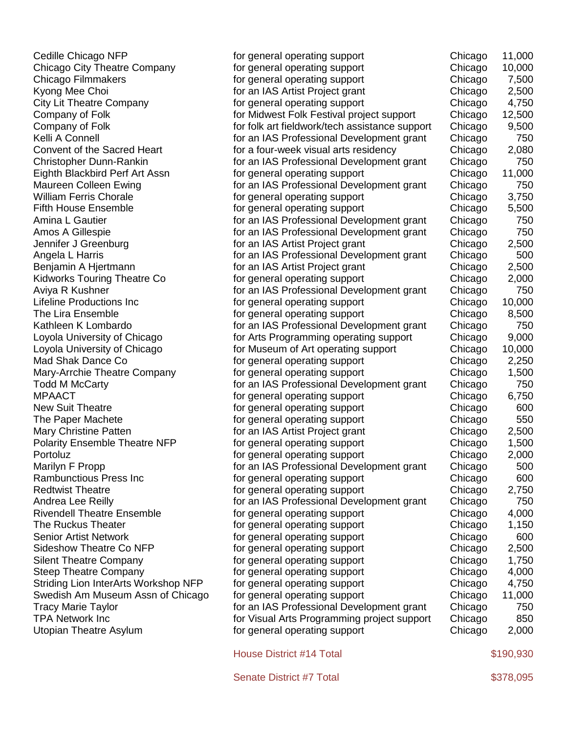| Cedille Chicago NFP                  | for general operating support                  | Chicago | 11,000    |
|--------------------------------------|------------------------------------------------|---------|-----------|
| Chicago City Theatre Company         | for general operating support                  | Chicago | 10,000    |
| <b>Chicago Filmmakers</b>            | for general operating support                  | Chicago | 7,500     |
| Kyong Mee Choi                       | for an IAS Artist Project grant                | Chicago | 2,500     |
| <b>City Lit Theatre Company</b>      | for general operating support                  | Chicago | 4,750     |
| Company of Folk                      | for Midwest Folk Festival project support      | Chicago | 12,500    |
| Company of Folk                      | for folk art fieldwork/tech assistance support | Chicago | 9,500     |
| Kelli A Connell                      | for an IAS Professional Development grant      | Chicago | 750       |
| Convent of the Sacred Heart          | for a four-week visual arts residency          | Chicago | 2,080     |
| <b>Christopher Dunn-Rankin</b>       | for an IAS Professional Development grant      | Chicago | 750       |
| Eighth Blackbird Perf Art Assn       | for general operating support                  | Chicago | 11,000    |
| Maureen Colleen Ewing                | for an IAS Professional Development grant      | Chicago | 750       |
| <b>William Ferris Chorale</b>        | for general operating support                  | Chicago | 3,750     |
| <b>Fifth House Ensemble</b>          | for general operating support                  | Chicago | 5,500     |
| Amina L Gautier                      | for an IAS Professional Development grant      | Chicago | 750       |
| Amos A Gillespie                     | for an IAS Professional Development grant      | Chicago | 750       |
| Jennifer J Greenburg                 | for an IAS Artist Project grant                | Chicago | 2,500     |
| Angela L Harris                      | for an IAS Professional Development grant      | Chicago | 500       |
| Benjamin A Hjertmann                 | for an IAS Artist Project grant                | Chicago | 2,500     |
| <b>Kidworks Touring Theatre Co</b>   | for general operating support                  | Chicago | 2,000     |
| Aviya R Kushner                      | for an IAS Professional Development grant      | Chicago | 750       |
| <b>Lifeline Productions Inc</b>      | for general operating support                  | Chicago | 10,000    |
| The Lira Ensemble                    | for general operating support                  | Chicago | 8,500     |
| Kathleen K Lombardo                  | for an IAS Professional Development grant      | Chicago | 750       |
| Loyola University of Chicago         | for Arts Programming operating support         | Chicago | 9,000     |
| Loyola University of Chicago         | for Museum of Art operating support            | Chicago | 10,000    |
| Mad Shak Dance Co                    | for general operating support                  | Chicago | 2,250     |
| Mary-Arrchie Theatre Company         | for general operating support                  | Chicago | 1,500     |
| <b>Todd M McCarty</b>                | for an IAS Professional Development grant      | Chicago | 750       |
| <b>MPAACT</b>                        | for general operating support                  | Chicago | 6,750     |
| <b>New Suit Theatre</b>              | for general operating support                  | Chicago | 600       |
| The Paper Machete                    | for general operating support                  | Chicago | 550       |
| <b>Mary Christine Patten</b>         | for an IAS Artist Project grant                | Chicago | 2,500     |
| <b>Polarity Ensemble Theatre NFP</b> | for general operating support                  | Chicago | 1,500     |
| Portoluz                             | for general operating support                  | Chicago | 2,000     |
| Marilyn F Propp                      | for an IAS Professional Development grant      | Chicago | 500       |
| <b>Rambunctious Press Inc</b>        | for general operating support                  | Chicago | 600       |
| <b>Redtwist Theatre</b>              | for general operating support                  | Chicago | 2,750     |
| Andrea Lee Reilly                    | for an IAS Professional Development grant      | Chicago | 750       |
| <b>Rivendell Theatre Ensemble</b>    | for general operating support                  | Chicago | 4,000     |
| The Ruckus Theater                   | for general operating support                  | Chicago | 1,150     |
| <b>Senior Artist Network</b>         | for general operating support                  | Chicago | 600       |
| <b>Sideshow Theatre Co NFP</b>       | for general operating support                  | Chicago | 2,500     |
| <b>Silent Theatre Company</b>        | for general operating support                  | Chicago | 1,750     |
| <b>Steep Theatre Company</b>         | for general operating support                  | Chicago | 4,000     |
| Striding Lion InterArts Workshop NFP | for general operating support                  | Chicago | 4,750     |
| Swedish Am Museum Assn of Chicago    | for general operating support                  | Chicago | 11,000    |
| <b>Tracy Marie Taylor</b>            | for an IAS Professional Development grant      | Chicago | 750       |
| <b>TPA Network Inc</b>               | for Visual Arts Programming project support    | Chicago | 850       |
| <b>Utopian Theatre Asylum</b>        | for general operating support                  | Chicago | 2,000     |
|                                      |                                                |         |           |
|                                      | <b>House District #14 Total</b>                |         | \$190,930 |
|                                      | Senate District #7 Total                       |         | \$378,095 |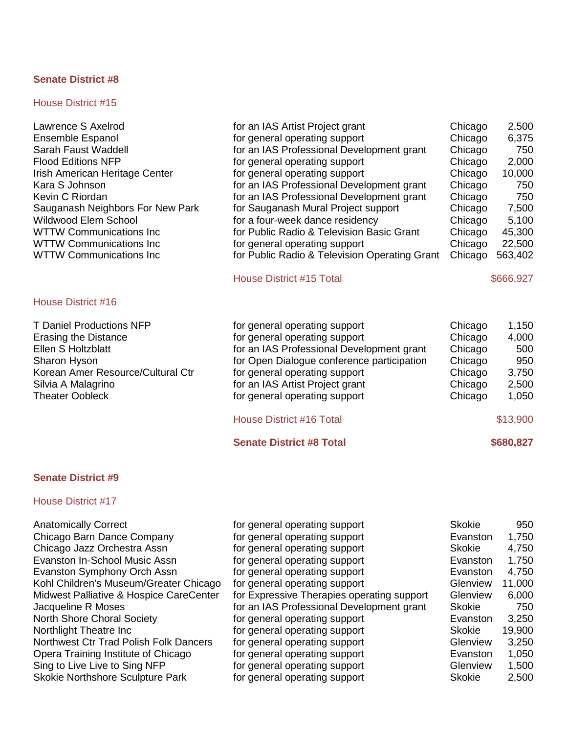| Lawrence S Axelrod<br>Ensemble Espanol<br>Sarah Faust Waddell<br><b>Flood Editions NFP</b><br>Irish American Heritage Center<br>Kara S Johnson<br>Kevin C Riordan<br>Sauganash Neighbors For New Park<br>Wildwood Elem School<br><b>WTTW Communications Inc</b><br><b>WTTW Communications Inc</b><br><b>WTTW Communications Inc.</b><br>House District #16 | for an IAS Artist Project grant<br>for general operating support<br>for an IAS Professional Development grant<br>for general operating support<br>for general operating support<br>for an IAS Professional Development grant<br>for an IAS Professional Development grant<br>for Sauganash Mural Project support<br>for a four-week dance residency<br>for Public Radio & Television Basic Grant<br>for general operating support<br>for Public Radio & Television Operating Grant<br><b>House District #15 Total</b> | Chicago<br>Chicago<br>Chicago<br>Chicago<br>Chicago<br>Chicago<br>Chicago<br>Chicago<br>Chicago<br>Chicago<br>Chicago<br>Chicago | 2,500<br>6,375<br>750<br>2,000<br>10,000<br>750<br>750<br>7,500<br>5,100<br>45,300<br>22,500<br>563,402<br>\$666,927 |
|------------------------------------------------------------------------------------------------------------------------------------------------------------------------------------------------------------------------------------------------------------------------------------------------------------------------------------------------------------|-----------------------------------------------------------------------------------------------------------------------------------------------------------------------------------------------------------------------------------------------------------------------------------------------------------------------------------------------------------------------------------------------------------------------------------------------------------------------------------------------------------------------|----------------------------------------------------------------------------------------------------------------------------------|----------------------------------------------------------------------------------------------------------------------|
| <b>T Daniel Productions NFP</b><br><b>Erasing the Distance</b><br>Ellen S Holtzblatt<br>Sharon Hyson<br>Korean Amer Resource/Cultural Ctr<br>Silvia A Malagrino<br><b>Theater Oobleck</b>                                                                                                                                                                  | for general operating support<br>for general operating support<br>for an IAS Professional Development grant<br>for Open Dialogue conference participation<br>for general operating support<br>for an IAS Artist Project grant<br>for general operating support<br><b>House District #16 Total</b><br><b>Senate District #8 Total</b>                                                                                                                                                                                  | Chicago<br>Chicago<br>Chicago<br>Chicago<br>Chicago<br>Chicago<br>Chicago                                                        | 1,150<br>4,000<br>500<br>950<br>3,750<br>2,500<br>1,050<br>\$13,900<br>\$680,827                                     |
| <b>Senate District #9</b>                                                                                                                                                                                                                                                                                                                                  |                                                                                                                                                                                                                                                                                                                                                                                                                                                                                                                       |                                                                                                                                  |                                                                                                                      |
| <b>House District #17</b>                                                                                                                                                                                                                                                                                                                                  |                                                                                                                                                                                                                                                                                                                                                                                                                                                                                                                       |                                                                                                                                  |                                                                                                                      |
| <b>Anatomically Correct</b><br>Chicago Barn Dance Company<br>Chicago Jazz Orchestra Assn<br><b>Evanston In-School Music Assn</b><br>Evanston Symphony Orch Assn                                                                                                                                                                                            | for general operating support<br>for general operating support<br>for general operating support<br>for general operating support<br>for general operating support                                                                                                                                                                                                                                                                                                                                                     | <b>Skokie</b><br>Evanston<br><b>Skokie</b><br>Evanston<br>Evanston                                                               | 950<br>1,750<br>4,750<br>1,750<br>4,750                                                                              |

| Chicago Jazz Orchestra Assn             | for general operating support              | <b>Skokie</b> | 4,750  |
|-----------------------------------------|--------------------------------------------|---------------|--------|
| <b>Evanston In-School Music Assn</b>    | for general operating support              | Evanston      | 1,750  |
| <b>Evanston Symphony Orch Assn</b>      | for general operating support              | Evanston      | 4,750  |
| Kohl Children's Museum/Greater Chicago  | for general operating support              | Glenview      | 11,000 |
| Midwest Palliative & Hospice CareCenter | for Expressive Therapies operating support | Glenview      | 6,000  |
| Jacqueline R Moses                      | for an IAS Professional Development grant  | <b>Skokie</b> | 750    |
| <b>North Shore Choral Society</b>       | for general operating support              | Evanston      | 3,250  |
| Northlight Theatre Inc                  | for general operating support              | <b>Skokie</b> | 19,900 |
| Northwest Ctr Trad Polish Folk Dancers  | for general operating support              | Glenview      | 3,250  |
| Opera Training Institute of Chicago     | for general operating support              | Evanston      | 1,050  |
| Sing to Live Live to Sing NFP           | for general operating support              | Glenview      | 1,500  |
| <b>Skokie Northshore Sculpture Park</b> | for general operating support              | <b>Skokie</b> | 2,500  |
|                                         |                                            |               |        |

| Evanston      | 1,750  |
|---------------|--------|
| <b>Skokie</b> | 4,750  |
| Evanston      | 1,750  |
| Evanston      | 4,750  |
| Glenview      | 11,000 |
| Glenview      | 6,000  |
| Skokie        | 750    |
| Evanston      | 3,250  |
| Skokie        | 19,900 |
| Glenview      | 3,250  |
| Evanston      | 1,050  |
| Glenview      | 1,500  |
| <b>Skokie</b> | 2,500  |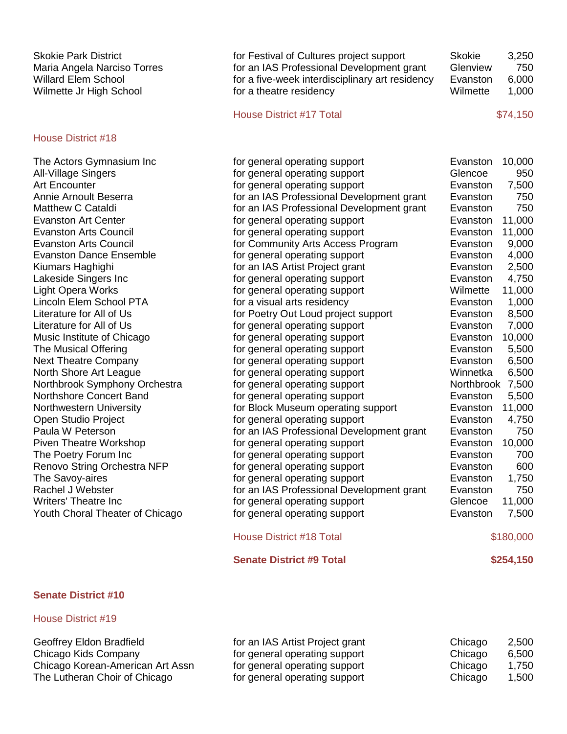| <b>Skokie Park District</b><br>Maria Angela Narciso Torres<br><b>Willard Elem School</b><br>Wilmette Jr High School | for Festival of Cultures project support<br>for an IAS Professional Development grant<br>for a five-week interdisciplinary art residency<br>for a theatre residency | <b>Skokie</b><br>Glenview<br>Evanston<br>Wilmette | 3,250<br>750<br>6,000<br>1,000 |
|---------------------------------------------------------------------------------------------------------------------|---------------------------------------------------------------------------------------------------------------------------------------------------------------------|---------------------------------------------------|--------------------------------|
|                                                                                                                     | <b>House District #17 Total</b>                                                                                                                                     |                                                   | \$74,150                       |
| <b>House District #18</b>                                                                                           |                                                                                                                                                                     |                                                   |                                |
| The Actors Gymnasium Inc                                                                                            | for general operating support                                                                                                                                       | Evanston                                          | 10,000                         |
| All-Village Singers                                                                                                 | for general operating support                                                                                                                                       | Glencoe                                           | 950                            |
| <b>Art Encounter</b>                                                                                                | for general operating support                                                                                                                                       | Evanston                                          | 7,500                          |
| Annie Arnoult Beserra                                                                                               | for an IAS Professional Development grant                                                                                                                           | Evanston                                          | 750                            |
| Matthew C Cataldi                                                                                                   | for an IAS Professional Development grant                                                                                                                           | Evanston                                          | 750                            |
| <b>Evanston Art Center</b>                                                                                          | for general operating support                                                                                                                                       | Evanston                                          | 11,000                         |
| <b>Evanston Arts Council</b>                                                                                        | for general operating support                                                                                                                                       | Evanston                                          | 11,000                         |
| <b>Evanston Arts Council</b>                                                                                        | for Community Arts Access Program                                                                                                                                   | Evanston                                          | 9,000                          |
| <b>Evanston Dance Ensemble</b>                                                                                      | for general operating support                                                                                                                                       | Evanston                                          | 4,000                          |
| Kiumars Haghighi                                                                                                    | for an IAS Artist Project grant                                                                                                                                     | Evanston                                          | 2,500                          |
| Lakeside Singers Inc                                                                                                | for general operating support                                                                                                                                       | Evanston                                          | 4,750                          |
| <b>Light Opera Works</b>                                                                                            | for general operating support                                                                                                                                       | Wilmette                                          | 11,000                         |
| Lincoln Elem School PTA                                                                                             | for a visual arts residency                                                                                                                                         | Evanston                                          | 1,000                          |
| Literature for All of Us                                                                                            | for Poetry Out Loud project support                                                                                                                                 | Evanston                                          | 8,500                          |
| Literature for All of Us                                                                                            | for general operating support                                                                                                                                       | Evanston                                          | 7,000                          |
| Music Institute of Chicago                                                                                          | for general operating support                                                                                                                                       | Evanston                                          | 10,000                         |
| The Musical Offering                                                                                                | for general operating support                                                                                                                                       | Evanston                                          | 5,500                          |
| <b>Next Theatre Company</b>                                                                                         | for general operating support                                                                                                                                       | Evanston                                          | 6,500                          |
| North Shore Art League                                                                                              | for general operating support                                                                                                                                       | Winnetka                                          | 6,500                          |
| Northbrook Symphony Orchestra                                                                                       | for general operating support                                                                                                                                       | Northbrook 7,500                                  |                                |
| Northshore Concert Band                                                                                             | for general operating support                                                                                                                                       | Evanston                                          | 5,500                          |
| Northwestern University                                                                                             | for Block Museum operating support                                                                                                                                  | Evanston                                          | 11,000                         |
| Open Studio Project                                                                                                 | for general operating support                                                                                                                                       | Evanston                                          | 4,750                          |
| Paula W Peterson                                                                                                    | for an IAS Professional Development grant                                                                                                                           | Evanston                                          | 750                            |
| <b>Piven Theatre Workshop</b>                                                                                       | for general operating support                                                                                                                                       | Evanston                                          | 10,000                         |
| The Poetry Forum Inc                                                                                                | for general operating support                                                                                                                                       | Evanston                                          | 700                            |
| Renovo String Orchestra NFP                                                                                         | for general operating support                                                                                                                                       | Evanston                                          | 600                            |
| The Savoy-aires                                                                                                     | for general operating support                                                                                                                                       | Evanston                                          | 1,750                          |
| Rachel J Webster                                                                                                    | for an IAS Professional Development grant                                                                                                                           | Evanston                                          | 750                            |
| <b>Writers' Theatre Inc</b>                                                                                         | for general operating support                                                                                                                                       | Glencoe                                           | 11,000                         |
| Youth Choral Theater of Chicago                                                                                     | for general operating support                                                                                                                                       | Evanston                                          | 7,500                          |

| <b>House District #18 Total</b> | \$180,000 |  |
|---------------------------------|-----------|--|
|---------------------------------|-----------|--|

| <b>Senate District #9 Total</b> | \$254,150 |
|---------------------------------|-----------|
|---------------------------------|-----------|

| Geoffrey Eldon Bradfield         | for an IAS Artist Project grant | Chicago | 2,500 |
|----------------------------------|---------------------------------|---------|-------|
| Chicago Kids Company             | for general operating support   | Chicago | 6,500 |
| Chicago Korean-American Art Assn | for general operating support   | Chicago | 1.750 |
| The Lutheran Choir of Chicago    | for general operating support   | Chicago | 1,500 |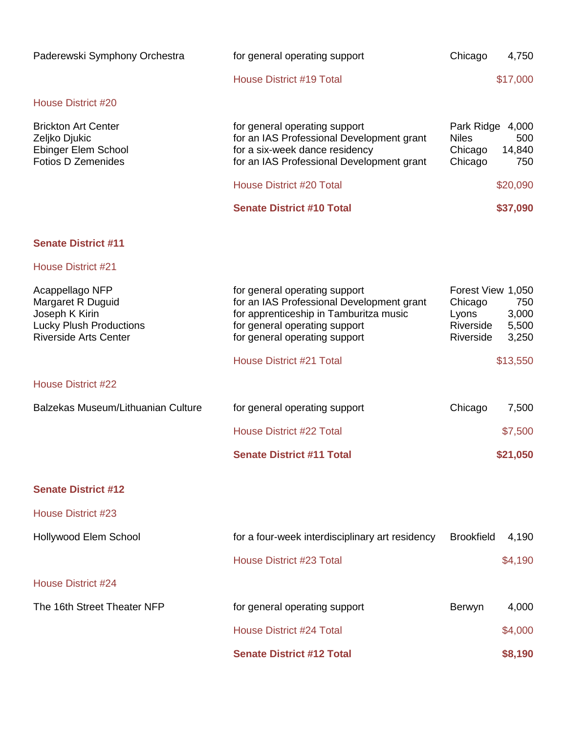| Paderewski Symphony Orchestra                                                                                            | for general operating support                                                                                                                                                          | Chicago                                                         | 4,750                          |
|--------------------------------------------------------------------------------------------------------------------------|----------------------------------------------------------------------------------------------------------------------------------------------------------------------------------------|-----------------------------------------------------------------|--------------------------------|
|                                                                                                                          | <b>House District #19 Total</b>                                                                                                                                                        |                                                                 | \$17,000                       |
| <b>House District #20</b>                                                                                                |                                                                                                                                                                                        |                                                                 |                                |
| <b>Brickton Art Center</b><br>Zeljko Djukic<br>Ebinger Elem School<br><b>Fotios D Zemenides</b>                          | for general operating support<br>for an IAS Professional Development grant<br>for a six-week dance residency<br>for an IAS Professional Development grant                              | Park Ridge 4,000<br><b>Niles</b><br>Chicago<br>Chicago          | 500<br>14,840<br>750           |
|                                                                                                                          | <b>House District #20 Total</b>                                                                                                                                                        |                                                                 | \$20,090                       |
|                                                                                                                          | <b>Senate District #10 Total</b>                                                                                                                                                       |                                                                 | \$37,090                       |
| <b>Senate District #11</b>                                                                                               |                                                                                                                                                                                        |                                                                 |                                |
| <b>House District #21</b>                                                                                                |                                                                                                                                                                                        |                                                                 |                                |
| Acappellago NFP<br>Margaret R Duguid<br>Joseph K Kirin<br><b>Lucky Plush Productions</b><br><b>Riverside Arts Center</b> | for general operating support<br>for an IAS Professional Development grant<br>for apprenticeship in Tamburitza music<br>for general operating support<br>for general operating support | Forest View 1,050<br>Chicago<br>Lyons<br>Riverside<br>Riverside | 750<br>3,000<br>5,500<br>3,250 |
|                                                                                                                          | <b>House District #21 Total</b>                                                                                                                                                        |                                                                 | \$13,550                       |
| <b>House District #22</b>                                                                                                |                                                                                                                                                                                        |                                                                 |                                |
| Balzekas Museum/Lithuanian Culture                                                                                       | for general operating support                                                                                                                                                          | Chicago                                                         | 7,500                          |
|                                                                                                                          | <b>House District #22 Total</b>                                                                                                                                                        |                                                                 | \$7,500                        |
|                                                                                                                          | <b>Senate District #11 Total</b>                                                                                                                                                       |                                                                 | \$21,050                       |
| <b>Senate District #12</b>                                                                                               |                                                                                                                                                                                        |                                                                 |                                |
| <b>House District #23</b>                                                                                                |                                                                                                                                                                                        |                                                                 |                                |
| Hollywood Elem School                                                                                                    | for a four-week interdisciplinary art residency                                                                                                                                        | <b>Brookfield</b>                                               | 4,190                          |
|                                                                                                                          | <b>House District #23 Total</b>                                                                                                                                                        |                                                                 | \$4,190                        |
| <b>House District #24</b>                                                                                                |                                                                                                                                                                                        |                                                                 |                                |
| The 16th Street Theater NFP                                                                                              | for general operating support                                                                                                                                                          | Berwyn                                                          | 4,000                          |
|                                                                                                                          | <b>House District #24 Total</b>                                                                                                                                                        |                                                                 | \$4,000                        |
|                                                                                                                          | <b>Senate District #12 Total</b>                                                                                                                                                       |                                                                 | \$8,190                        |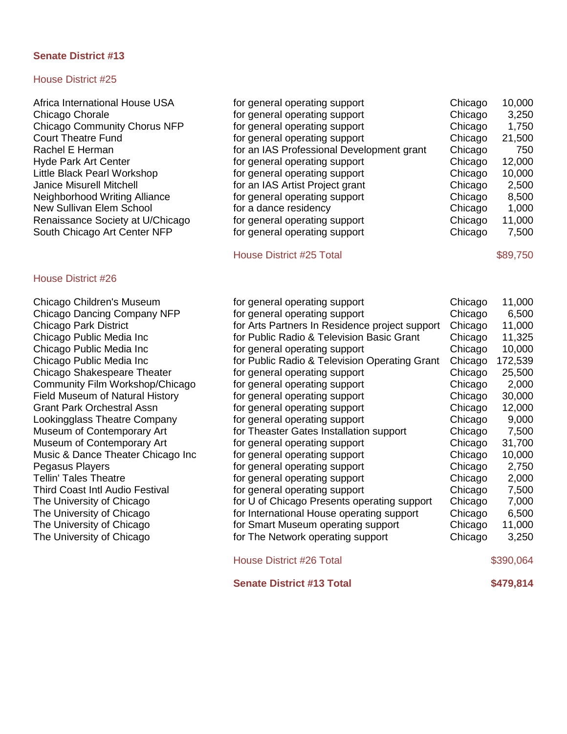#### House District #25

Africa International House USA Chicago Chorale Chicago Community Chorus NFP Court Theatre Fund Rachel E Herman Hyde Park Art Center Little Black Pearl Workshop Janice Misurell Mitchell Neighborhood Writing Alliance New Sullivan Elem School Renaissance Society at U/Chicago South Chicago Art Center NFP

#### House District #26

| for general operating support             | Chicago | 10,000 |
|-------------------------------------------|---------|--------|
| for general operating support             | Chicago | 3,250  |
| for general operating support             | Chicago | 1,750  |
| for general operating support             | Chicago | 21,500 |
| for an IAS Professional Development grant | Chicago | 750    |
| for general operating support             | Chicago | 12,000 |
| for general operating support             | Chicago | 10,000 |
| for an IAS Artist Project grant           | Chicago | 2,500  |
| for general operating support             | Chicago | 8,500  |
| for a dance residency                     | Chicago | 1,000  |
| for general operating support             | Chicago | 11,000 |
| for general operating support             | Chicago | 7,500  |

House District #25 Total \$89,750

Chicago Children's Museum for general operating support Chicago 11,000 Chicago Dancing Company NFP for general operating support Chicago 6,500 Chicago Park District for Arts Partners In Residence project support Chicago 11,000 Chicago Public Media Inc for Public Radio & Television Basic Grant Chicago 11,325 Chicago Public Media Inc for general operating support Chicago 10,000 Chicago Public Media Inc for Public Radio & Television Operating Grant Chicago 172,539 Chicago Shakespeare Theater for general operating support Chicago 25,500 Community Film Workshop/Chicago for general operating support Chicago 2,000 Field Museum of Natural History **the Chicago 19th** for general operating support **Field Museum of Natural Algebra** Grant Park Orchestral Assn for general operating support Chicago 12,000 Lookingglass Theatre Company for general operating support Chicago 9,000 Museum of Contemporary Art for Theaster Gates Installation support Chicago 7,500 Museum of Contemporary Art for general operating support Chicago 31,700 Music & Dance Theater Chicago Inc for general operating support Chicago 10,000 Pegasus Players **For a Chicago 2,750** for general operating support **For a Chicago** 2,750 Tellin' Tales Theatre Theorem is the for general operating support Tellin' Tales Theatre 2,000 Third Coast Intl Audio Festival **Figure 10** for general operating support **Figure 2**,500 The University of Chicago for U of Chicago Presents operating support Chicago 7,000 The University of Chicago for International House operating support Chicago 6,500 The University of Chicago **for Smart Museum operating support** Chicago 11,000 The University of Chicago The The Network operating support Chicago 3,250 House District #26 Total \$390,064

**Senate District #13 Total \$479,814**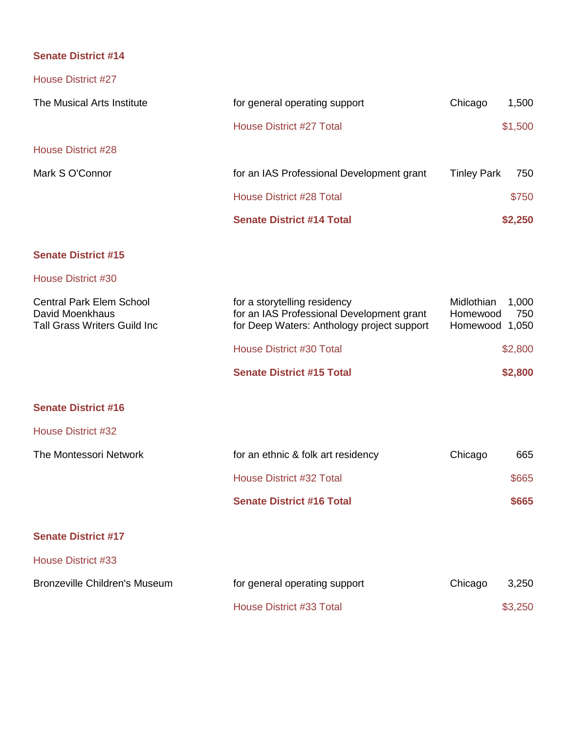| House District #27                                                                        |                                                                                                                         |                                          |              |
|-------------------------------------------------------------------------------------------|-------------------------------------------------------------------------------------------------------------------------|------------------------------------------|--------------|
| The Musical Arts Institute                                                                | for general operating support                                                                                           | Chicago                                  | 1,500        |
|                                                                                           | <b>House District #27 Total</b>                                                                                         |                                          | \$1,500      |
| <b>House District #28</b>                                                                 |                                                                                                                         |                                          |              |
| Mark S O'Connor                                                                           | for an IAS Professional Development grant                                                                               | <b>Tinley Park</b>                       | 750          |
|                                                                                           | <b>House District #28 Total</b>                                                                                         |                                          | \$750        |
|                                                                                           | <b>Senate District #14 Total</b>                                                                                        |                                          | \$2,250      |
| <b>Senate District #15</b>                                                                |                                                                                                                         |                                          |              |
| House District #30                                                                        |                                                                                                                         |                                          |              |
| <b>Central Park Elem School</b><br>David Moenkhaus<br><b>Tall Grass Writers Guild Inc</b> | for a storytelling residency<br>for an IAS Professional Development grant<br>for Deep Waters: Anthology project support | Midlothian<br>Homewood<br>Homewood 1,050 | 1,000<br>750 |
|                                                                                           | House District #30 Total                                                                                                |                                          | \$2,800      |
|                                                                                           | <b>Senate District #15 Total</b>                                                                                        |                                          | \$2,800      |
| <b>Senate District #16</b>                                                                |                                                                                                                         |                                          |              |
| House District #32                                                                        |                                                                                                                         |                                          |              |
| The Montessori Network                                                                    | for an ethnic & folk art residency                                                                                      | Chicago                                  | 665          |
|                                                                                           | <b>House District #32 Total</b>                                                                                         |                                          | \$665        |
|                                                                                           | <b>Senate District #16 Total</b>                                                                                        |                                          | \$665        |
| <b>Senate District #17</b>                                                                |                                                                                                                         |                                          |              |
| <b>House District #33</b>                                                                 |                                                                                                                         |                                          |              |
| <b>Bronzeville Children's Museum</b>                                                      | for general operating support                                                                                           | Chicago                                  | 3,250        |
|                                                                                           | <b>House District #33 Total</b>                                                                                         |                                          | \$3,250      |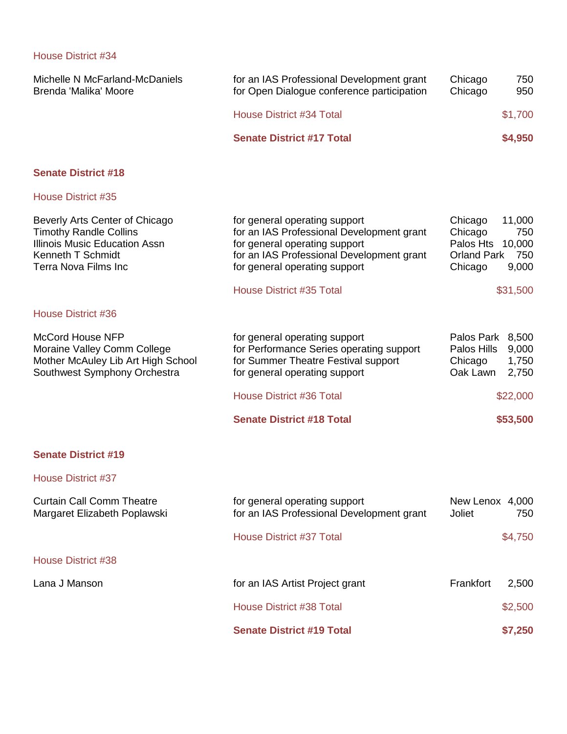| Michelle N McFarland-McDaniels<br>Brenda 'Malika' Moore                                                                                                            | for an IAS Professional Development grant<br>for Open Dialogue conference participation                                                                                                                                      | Chicago<br>Chicago                                               | 750<br>950                                          |
|--------------------------------------------------------------------------------------------------------------------------------------------------------------------|------------------------------------------------------------------------------------------------------------------------------------------------------------------------------------------------------------------------------|------------------------------------------------------------------|-----------------------------------------------------|
|                                                                                                                                                                    | <b>House District #34 Total</b>                                                                                                                                                                                              |                                                                  | \$1,700                                             |
|                                                                                                                                                                    | <b>Senate District #17 Total</b>                                                                                                                                                                                             |                                                                  | \$4,950                                             |
| <b>Senate District #18</b>                                                                                                                                         |                                                                                                                                                                                                                              |                                                                  |                                                     |
| <b>House District #35</b>                                                                                                                                          |                                                                                                                                                                                                                              |                                                                  |                                                     |
| Beverly Arts Center of Chicago<br><b>Timothy Randle Collins</b><br><b>Illinois Music Education Assn</b><br><b>Kenneth T Schmidt</b><br><b>Terra Nova Films Inc</b> | for general operating support<br>for an IAS Professional Development grant<br>for general operating support<br>for an IAS Professional Development grant<br>for general operating support<br><b>House District #35 Total</b> | Chicago<br>Chicago<br>Palos Hts<br><b>Orland Park</b><br>Chicago | 11,000<br>750<br>10,000<br>750<br>9,000<br>\$31,500 |
| <b>House District #36</b>                                                                                                                                          |                                                                                                                                                                                                                              |                                                                  |                                                     |
| <b>McCord House NFP</b><br>Moraine Valley Comm College<br>Mother McAuley Lib Art High School<br>Southwest Symphony Orchestra                                       | for general operating support<br>for Performance Series operating support<br>for Summer Theatre Festival support<br>for general operating support                                                                            | Palos Park 8,500<br>Palos Hills<br>Chicago<br>Oak Lawn           | 9,000<br>1,750<br>2,750                             |
|                                                                                                                                                                    | <b>House District #36 Total</b>                                                                                                                                                                                              |                                                                  | \$22,000                                            |
|                                                                                                                                                                    | <b>Senate District #18 Total</b>                                                                                                                                                                                             |                                                                  | \$53,500                                            |
|                                                                                                                                                                    |                                                                                                                                                                                                                              |                                                                  |                                                     |

# **Senate District #19**

| <b>Curtain Call Comm Theatre</b><br>Margaret Elizabeth Poplawski | for general operating support<br>for an IAS Professional Development grant | New Lenox 4,000<br>Joliet<br>750 |
|------------------------------------------------------------------|----------------------------------------------------------------------------|----------------------------------|
|                                                                  | House District #37 Total                                                   | \$4,750                          |
| House District #38                                               |                                                                            |                                  |
| Lana J Manson                                                    | for an IAS Artist Project grant                                            | 2,500<br>Frankfort               |
|                                                                  | House District #38 Total                                                   | \$2,500                          |
|                                                                  | <b>Senate District #19 Total</b>                                           | \$7,250                          |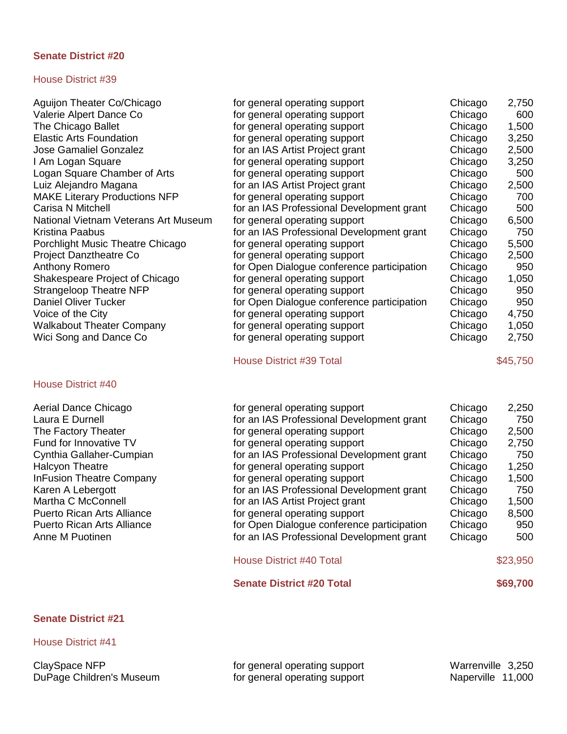#### House District #39

| Aguijon Theater Co/Chicago           | for general operating support              | Chicago | 2,750    |
|--------------------------------------|--------------------------------------------|---------|----------|
| Valerie Alpert Dance Co              | for general operating support              | Chicago | 600      |
| The Chicago Ballet                   | for general operating support              | Chicago | 1,500    |
| <b>Elastic Arts Foundation</b>       | for general operating support              | Chicago | 3,250    |
| <b>Jose Gamaliel Gonzalez</b>        | for an IAS Artist Project grant            | Chicago | 2,500    |
| I Am Logan Square                    | for general operating support              | Chicago | 3,250    |
| Logan Square Chamber of Arts         | for general operating support              | Chicago | 500      |
| Luiz Alejandro Magana                | for an IAS Artist Project grant            | Chicago | 2,500    |
| <b>MAKE Literary Productions NFP</b> | for general operating support              | Chicago | 700      |
| Carisa N Mitchell                    | for an IAS Professional Development grant  | Chicago | 500      |
| National Vietnam Veterans Art Museum | for general operating support              | Chicago | 6,500    |
| Kristina Paabus                      | for an IAS Professional Development grant  | Chicago | 750      |
| Porchlight Music Theatre Chicago     | for general operating support              | Chicago | 5,500    |
| <b>Project Danztheatre Co</b>        | for general operating support              | Chicago | 2,500    |
| <b>Anthony Romero</b>                | for Open Dialogue conference participation | Chicago | 950      |
| Shakespeare Project of Chicago       | for general operating support              | Chicago | 1,050    |
| <b>Strangeloop Theatre NFP</b>       | for general operating support              | Chicago | 950      |
| <b>Daniel Oliver Tucker</b>          | for Open Dialogue conference participation | Chicago | 950      |
| Voice of the City                    | for general operating support              | Chicago | 4,750    |
| <b>Walkabout Theater Company</b>     | for general operating support              | Chicago | 1,050    |
| Wici Song and Dance Co               | for general operating support              | Chicago | 2,750    |
|                                      | <b>House District #39 Total</b>            |         | \$45,750 |
| <b>House District #40</b>            |                                            |         |          |
| Aerial Dance Chicago                 | for general operating support              | Chicago | 2,250    |
| Laura E Durnell                      | for an IAS Professional Development grant  | Chicago | 750      |
| The Factory Theater                  | for general operating support              | Chicago | 2,500    |
| Fund for Innovative TV               | for general operating support              | Chicago | 2,750    |
| Cynthia Gallaher-Cumpian             | for an IAS Professional Development grant  | Chicago | 750      |
| <b>Halcyon Theatre</b>               | for general operating support              | Chicago | 1,250    |
| <b>InFusion Theatre Company</b>      | for general operating support              | Chicago | 1,500    |
| Karen A Lebergott                    | for an IAS Professional Development grant  | Chicago | 750      |
| Martha C McConnell                   | for an IAS Artist Project grant            | Chicago | 1,500    |
| <b>Puerto Rican Arts Alliance</b>    | for general operating support              | Chicago | 8,500    |
| <b>Puerto Rican Arts Alliance</b>    | for Open Dialogue conference participation | Chicago | 950      |
| Anne M Puotinen                      | for an IAS Professional Development grant  | Chicago | 500      |
|                                      | <b>House District #40 Total</b>            |         | \$23,950 |
|                                      | <b>Senate District #20 Total</b>           |         | \$69,700 |
| <b>Senate District #21</b>           |                                            |         |          |

House District #41

ClaySpace NFP **for general operating support** Warrenville 3,250 DuPage Children's Museum for general operating support Naperville 11,000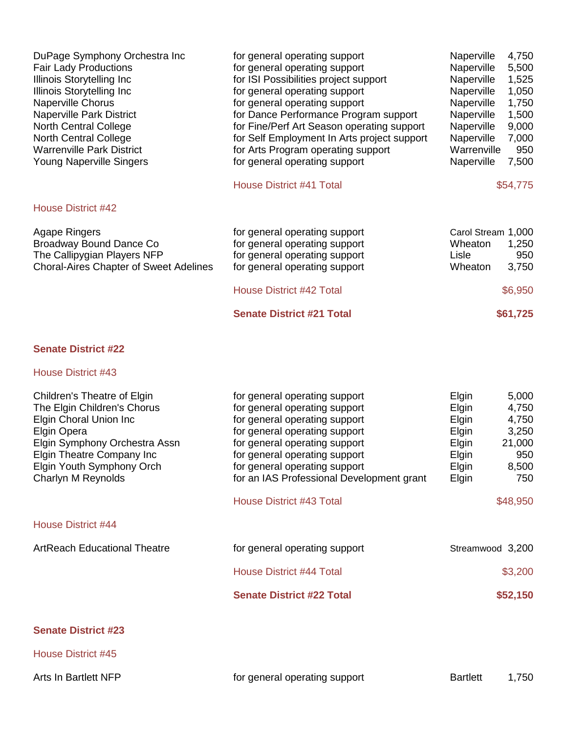| for general operating support               | Naperville                                                                                                                                                     | 4,750                         |
|---------------------------------------------|----------------------------------------------------------------------------------------------------------------------------------------------------------------|-------------------------------|
| for general operating support               | Naperville                                                                                                                                                     | 5,500                         |
| for ISI Possibilities project support       | Naperville                                                                                                                                                     | 1,525                         |
| for general operating support               | Naperville                                                                                                                                                     | 1,050                         |
| for general operating support               | Naperville                                                                                                                                                     | 1,750                         |
| for Dance Performance Program support       | Naperville                                                                                                                                                     | 1,500                         |
| for Fine/Perf Art Season operating support  | Naperville                                                                                                                                                     | 9,000                         |
| for Self Employment In Arts project support | Naperville                                                                                                                                                     | 7,000                         |
| for Arts Program operating support          | Warrenville                                                                                                                                                    | 950                           |
| for general operating support               | Naperville                                                                                                                                                     | 7,500                         |
|                                             |                                                                                                                                                                | \$54,775                      |
|                                             |                                                                                                                                                                |                               |
|                                             |                                                                                                                                                                |                               |
|                                             |                                                                                                                                                                |                               |
|                                             |                                                                                                                                                                | 1,250                         |
|                                             | Lisle                                                                                                                                                          | 950                           |
| for general operating support               | Wheaton                                                                                                                                                        | 3,750                         |
|                                             |                                                                                                                                                                |                               |
|                                             |                                                                                                                                                                | \$6,950                       |
| <b>Senate District #21 Total</b>            |                                                                                                                                                                | \$61,725                      |
|                                             | <b>House District #41 Total</b><br>for general operating support<br>for general operating support<br>for general operating support<br>House District #42 Total | Carol Stream 1,000<br>Wheaton |

# House District #43

| Children's Theatre of Elgin<br>The Elgin Children's Chorus<br>Elgin Choral Union Inc<br>Elgin Opera<br>Elgin Symphony Orchestra Assn | for general operating support<br>for general operating support<br>for general operating support<br>for general operating support<br>for general operating support | Elgin<br>Elgin<br>Elgin<br>Elgin<br>Elgin | 5,000<br>4,750<br>4,750<br>3,250<br>21,000 |
|--------------------------------------------------------------------------------------------------------------------------------------|-------------------------------------------------------------------------------------------------------------------------------------------------------------------|-------------------------------------------|--------------------------------------------|
| Elgin Theatre Company Inc<br>Elgin Youth Symphony Orch                                                                               | for general operating support<br>for general operating support                                                                                                    | Elgin<br>Elgin                            | 950<br>8,500                               |
| Charlyn M Reynolds                                                                                                                   | for an IAS Professional Development grant                                                                                                                         | Elgin                                     | 750                                        |
| House District #44                                                                                                                   | <b>House District #43 Total</b>                                                                                                                                   |                                           | \$48,950                                   |
| <b>ArtReach Educational Theatre</b>                                                                                                  | for general operating support                                                                                                                                     | Streamwood 3,200                          |                                            |
|                                                                                                                                      | <b>House District #44 Total</b>                                                                                                                                   |                                           | \$3,200                                    |
|                                                                                                                                      | <b>Senate District #22 Total</b>                                                                                                                                  |                                           | \$52,150                                   |
| <b>Senate District #23</b>                                                                                                           |                                                                                                                                                                   |                                           |                                            |
| <b>House District #45</b>                                                                                                            |                                                                                                                                                                   |                                           |                                            |

Arts In Bartlett NFP **for general operating support** Bartlett 1,750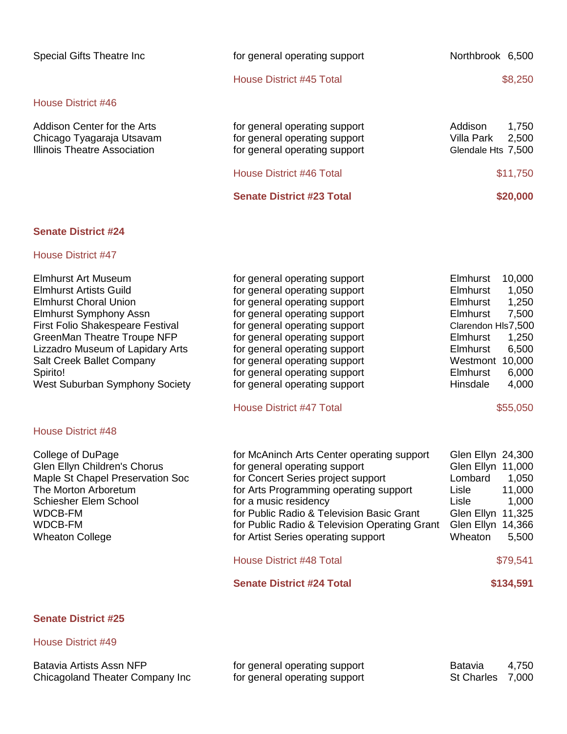| Special Gifts Theatre Inc                                                                | for general operating support                                                                                               | Northbrook 6,500                                                          |
|------------------------------------------------------------------------------------------|-----------------------------------------------------------------------------------------------------------------------------|---------------------------------------------------------------------------|
|                                                                                          | House District #45 Total                                                                                                    | \$8,250                                                                   |
| House District #46                                                                       |                                                                                                                             |                                                                           |
| Addison Center for the Arts<br>Chicago Tyagaraja Utsavam<br>Illinois Theatre Association | for general operating support<br>for general operating support<br>for general operating support<br>House District #46 Total | Addison<br>1,750<br>Villa Park<br>2,500<br>Glendale Hts 7,500<br>\$11,750 |
|                                                                                          | <b>Senate District #23 Total</b>                                                                                            | \$20,000                                                                  |

#### House District #47

| Elmhurst Art Museum<br><b>Elmhurst Artists Guild</b><br><b>Elmhurst Choral Union</b><br><b>Elmhurst Symphony Assn</b><br><b>First Folio Shakespeare Festival</b><br>GreenMan Theatre Troupe NFP<br>Lizzadro Museum of Lapidary Arts<br>Salt Creek Ballet Company<br>Spirito!<br><b>West Suburban Symphony Society</b> | for general operating support<br>for general operating support<br>for general operating support<br>for general operating support<br>for general operating support<br>for general operating support<br>for general operating support<br>for general operating support<br>for general operating support<br>for general operating support | 10,000<br><b>Elmhurst</b><br><b>Elmhurst</b><br>1,050<br>1,250<br>Elmhurst<br>7,500<br>Elmhurst<br>Clarendon HIs7,500<br><b>Elmhurst</b><br>1,250<br>6,500<br>Elmhurst<br>10,000<br>Westmont<br><b>Elmhurst</b><br>6,000<br>Hinsdale<br>4,000 |
|-----------------------------------------------------------------------------------------------------------------------------------------------------------------------------------------------------------------------------------------------------------------------------------------------------------------------|----------------------------------------------------------------------------------------------------------------------------------------------------------------------------------------------------------------------------------------------------------------------------------------------------------------------------------------|-----------------------------------------------------------------------------------------------------------------------------------------------------------------------------------------------------------------------------------------------|
|                                                                                                                                                                                                                                                                                                                       | <b>House District #47 Total</b>                                                                                                                                                                                                                                                                                                        | \$55,050                                                                                                                                                                                                                                      |
| <b>House District #48</b>                                                                                                                                                                                                                                                                                             |                                                                                                                                                                                                                                                                                                                                        |                                                                                                                                                                                                                                               |
| College of DuPage<br>Glen Ellyn Children's Chorus<br>Maple St Chapel Preservation Soc<br>The Morton Arboretum<br>Schiesher Elem School<br><b>WDCB-FM</b><br><b>WDCB-FM</b><br><b>Wheaton College</b>                                                                                                                  | for McAninch Arts Center operating support<br>for general operating support<br>for Concert Series project support<br>for Arts Programming operating support<br>for a music residency<br>for Public Radio & Television Basic Grant<br>for Public Radio & Television Operating Grant<br>for Artist Series operating support              | Glen Ellyn 24,300<br>Glen Ellyn<br>11,000<br>Lombard<br>1,050<br>Lisle<br>11,000<br>1,000<br>Lisle<br>11,325<br>Glen Ellyn<br>Glen Ellyn 14,366<br>Wheaton<br>5,500                                                                           |
|                                                                                                                                                                                                                                                                                                                       | <b>House District #48 Total</b>                                                                                                                                                                                                                                                                                                        | \$79,541                                                                                                                                                                                                                                      |
|                                                                                                                                                                                                                                                                                                                       | <b>Senate District #24 Total</b>                                                                                                                                                                                                                                                                                                       | \$134,591                                                                                                                                                                                                                                     |
|                                                                                                                                                                                                                                                                                                                       |                                                                                                                                                                                                                                                                                                                                        |                                                                                                                                                                                                                                               |

# **Senate District #25**

| Batavia Artists Assn NFP        | for general operating support | Batavia          | 4,750 |
|---------------------------------|-------------------------------|------------------|-------|
| Chicagoland Theater Company Inc | for general operating support | St Charles 7,000 |       |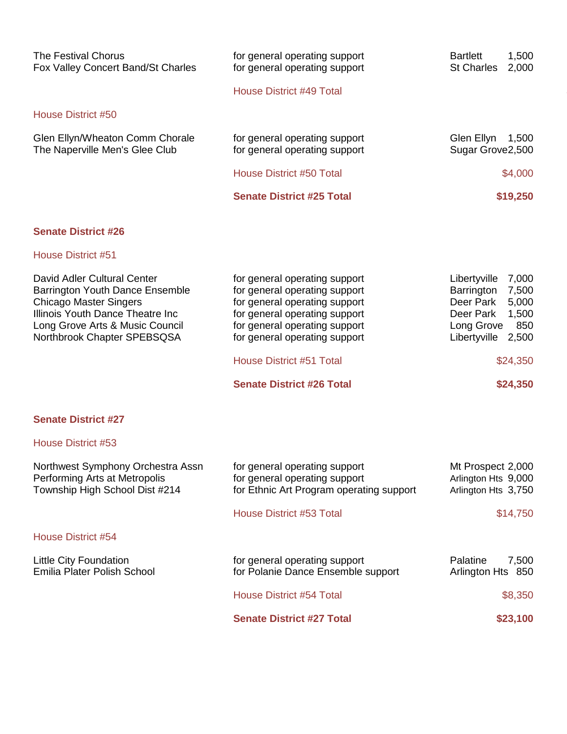| <b>The Festival Chorus</b><br>Fox Valley Concert Band/St Charles                                                                                                                                      | for general operating support<br>for general operating support                                                                                                                                     | 1,500<br><b>Bartlett</b><br>St Charles<br>2,000                                                                                  |
|-------------------------------------------------------------------------------------------------------------------------------------------------------------------------------------------------------|----------------------------------------------------------------------------------------------------------------------------------------------------------------------------------------------------|----------------------------------------------------------------------------------------------------------------------------------|
|                                                                                                                                                                                                       | <b>House District #49 Total</b>                                                                                                                                                                    |                                                                                                                                  |
| <b>House District #50</b>                                                                                                                                                                             |                                                                                                                                                                                                    |                                                                                                                                  |
| Glen Ellyn/Wheaton Comm Chorale<br>The Naperville Men's Glee Club                                                                                                                                     | for general operating support<br>for general operating support                                                                                                                                     | Glen Ellyn 1,500<br>Sugar Grove2,500                                                                                             |
|                                                                                                                                                                                                       | <b>House District #50 Total</b>                                                                                                                                                                    | \$4,000                                                                                                                          |
|                                                                                                                                                                                                       | <b>Senate District #25 Total</b>                                                                                                                                                                   | \$19,250                                                                                                                         |
| <b>Senate District #26</b>                                                                                                                                                                            |                                                                                                                                                                                                    |                                                                                                                                  |
| <b>House District #51</b>                                                                                                                                                                             |                                                                                                                                                                                                    |                                                                                                                                  |
| David Adler Cultural Center<br>Barrington Youth Dance Ensemble<br><b>Chicago Master Singers</b><br>Illinois Youth Dance Theatre Inc<br>Long Grove Arts & Music Council<br>Northbrook Chapter SPEBSQSA | for general operating support<br>for general operating support<br>for general operating support<br>for general operating support<br>for general operating support<br>for general operating support | Libertyville 7,000<br>7,500<br>Barrington<br>5,000<br>Deer Park<br>1,500<br>Deer Park<br>850<br>Long Grove<br>Libertyville 2,500 |
|                                                                                                                                                                                                       | <b>House District #51 Total</b>                                                                                                                                                                    | \$24,350                                                                                                                         |
|                                                                                                                                                                                                       | <b>Senate District #26 Total</b>                                                                                                                                                                   | \$24,350                                                                                                                         |
| <b>Senate District #27</b>                                                                                                                                                                            |                                                                                                                                                                                                    |                                                                                                                                  |
| House District #53                                                                                                                                                                                    |                                                                                                                                                                                                    |                                                                                                                                  |
| Northwest Symphony Orchestra Assn<br>Performing Arts at Metropolis<br>Township High School Dist #214                                                                                                  | for general operating support<br>for general operating support<br>for Ethnic Art Program operating support                                                                                         | Mt Prospect 2,000<br>Arlington Hts 9,000<br>Arlington Hts 3,750                                                                  |
|                                                                                                                                                                                                       | <b>House District #53 Total</b>                                                                                                                                                                    | \$14,750                                                                                                                         |

| Little City Foundation<br><b>Emilia Plater Polish School</b> | for general operating support<br>for Polanie Dance Ensemble support | <b>Palatine</b><br>7,500<br>Arlington Hts 850 |
|--------------------------------------------------------------|---------------------------------------------------------------------|-----------------------------------------------|
|                                                              | House District #54 Total                                            | \$8,350                                       |
|                                                              | <b>Senate District #27 Total</b>                                    | \$23,100                                      |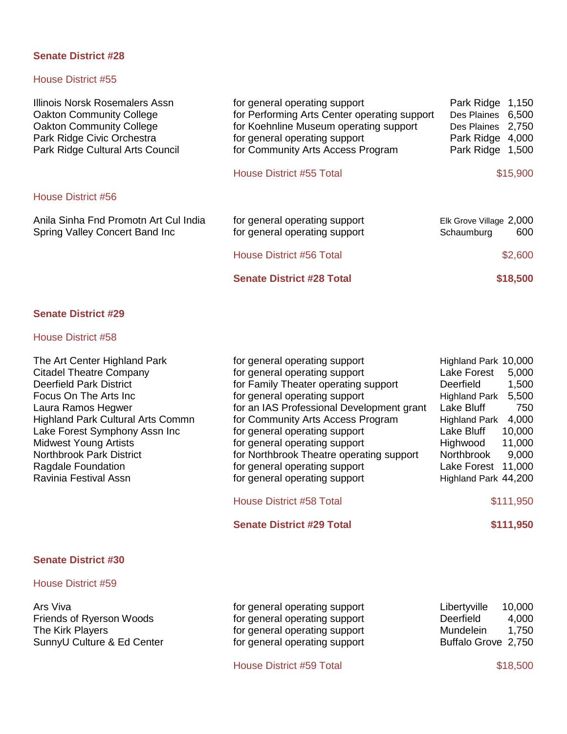#### House District #55

| Illinois Norsk Rosemalers Assn<br><b>Oakton Community College</b><br><b>Oakton Community College</b><br>Park Ridge Civic Orchestra<br>Park Ridge Cultural Arts Council | for general operating support<br>for Performing Arts Center operating support<br>for Koehnline Museum operating support<br>for general operating support<br>for Community Arts Access Program | Park Ridge 1,150<br>Des Plaines 6,500<br>Des Plaines 2,750<br>Park Ridge 4,000<br>Park Ridge 1,500 |
|------------------------------------------------------------------------------------------------------------------------------------------------------------------------|-----------------------------------------------------------------------------------------------------------------------------------------------------------------------------------------------|----------------------------------------------------------------------------------------------------|
|                                                                                                                                                                        | House District #55 Total                                                                                                                                                                      | \$15,900                                                                                           |
| House District #56                                                                                                                                                     |                                                                                                                                                                                               |                                                                                                    |
| Anila Sinha Fnd Promotn Art Cul India<br>Spring Valley Concert Band Inc                                                                                                | for general operating support<br>for general operating support                                                                                                                                | Elk Grove Village 2,000<br>600<br>Schaumburg                                                       |
|                                                                                                                                                                        | House District #56 Total                                                                                                                                                                      | \$2,600                                                                                            |
|                                                                                                                                                                        | <b>Senate District #28 Total</b>                                                                                                                                                              | \$18,500                                                                                           |
|                                                                                                                                                                        |                                                                                                                                                                                               |                                                                                                    |

## **Senate District #29**

# House District #58

| The Art Center Highland Park<br><b>Citadel Theatre Company</b><br><b>Deerfield Park District</b><br>Focus On The Arts Inc<br>Laura Ramos Hegwer<br><b>Highland Park Cultural Arts Commn</b><br>Lake Forest Symphony Assn Inc<br><b>Midwest Young Artists</b><br><b>Northbrook Park District</b><br>Ragdale Foundation<br>Ravinia Festival Assn | for general operating support<br>for general operating support<br>for Family Theater operating support<br>for general operating support<br>for an IAS Professional Development grant<br>for Community Arts Access Program<br>for general operating support<br>for general operating support<br>for Northbrook Theatre operating support<br>for general operating support<br>for general operating support | Highland Park 10,000<br>Lake Forest<br>5,000<br><b>Deerfield</b><br>1,500<br>5,500<br><b>Highland Park</b><br>Lake Bluff<br>750<br>4,000<br><b>Highland Park</b><br>Lake Bluff<br>10,000<br>Highwood<br>11,000<br>Northbrook<br>9,000<br>Lake Forest 11,000<br>Highland Park 44,200 |
|------------------------------------------------------------------------------------------------------------------------------------------------------------------------------------------------------------------------------------------------------------------------------------------------------------------------------------------------|-----------------------------------------------------------------------------------------------------------------------------------------------------------------------------------------------------------------------------------------------------------------------------------------------------------------------------------------------------------------------------------------------------------|-------------------------------------------------------------------------------------------------------------------------------------------------------------------------------------------------------------------------------------------------------------------------------------|
|                                                                                                                                                                                                                                                                                                                                                |                                                                                                                                                                                                                                                                                                                                                                                                           |                                                                                                                                                                                                                                                                                     |
|                                                                                                                                                                                                                                                                                                                                                | House District #58 Total                                                                                                                                                                                                                                                                                                                                                                                  | \$111,950                                                                                                                                                                                                                                                                           |
|                                                                                                                                                                                                                                                                                                                                                | <b>Senate District #29 Total</b>                                                                                                                                                                                                                                                                                                                                                                          | \$111,950                                                                                                                                                                                                                                                                           |
|                                                                                                                                                                                                                                                                                                                                                |                                                                                                                                                                                                                                                                                                                                                                                                           |                                                                                                                                                                                                                                                                                     |

## **Senate District #30**

## House District #59

Ars Viva for general operating support Libertyville 10,000<br>Friends of Ryerson Woods for general operating support Deerfield 4,000 Friends of Ryerson Woods **Fich and Structure of Convertional Convertion** Critical Analytic Friends of Ryerson Woods<br>
For general operating support Mundelein 1,750 The Kirk Players for general operating support<br>SunnyU Culture & Ed Center for general operating support for general operating support Buffalo Grove 2,750

House District #59 Total \$18,500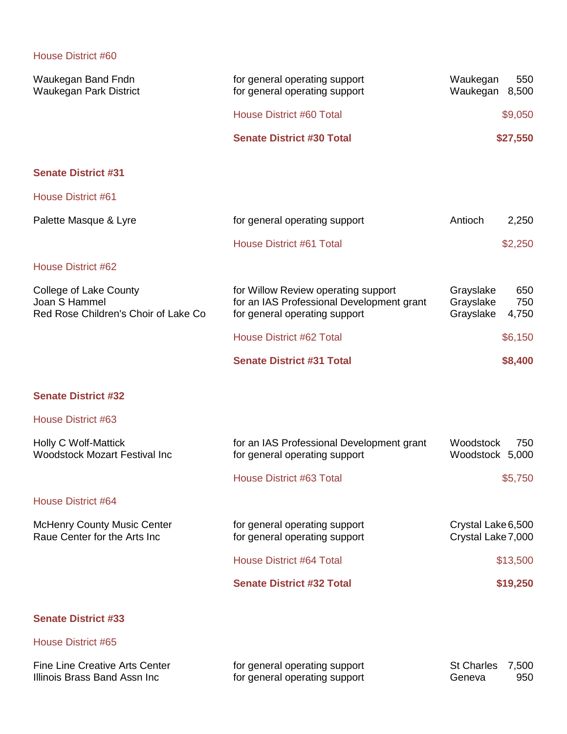| Waukegan Band Fndn<br><b>Waukegan Park District</b>                                    | for general operating support<br>for general operating support                                                    | Waukegan<br>550<br>Waukegan<br>8,500                       |
|----------------------------------------------------------------------------------------|-------------------------------------------------------------------------------------------------------------------|------------------------------------------------------------|
|                                                                                        | <b>House District #60 Total</b>                                                                                   | \$9,050                                                    |
|                                                                                        | <b>Senate District #30 Total</b>                                                                                  | \$27,550                                                   |
| <b>Senate District #31</b>                                                             |                                                                                                                   |                                                            |
| <b>House District #61</b>                                                              |                                                                                                                   |                                                            |
| Palette Masque & Lyre                                                                  | for general operating support                                                                                     | Antioch<br>2,250                                           |
|                                                                                        | <b>House District #61 Total</b>                                                                                   | \$2,250                                                    |
| House District #62                                                                     |                                                                                                                   |                                                            |
| <b>College of Lake County</b><br>Joan S Hammel<br>Red Rose Children's Choir of Lake Co | for Willow Review operating support<br>for an IAS Professional Development grant<br>for general operating support | Grayslake<br>650<br>Grayslake<br>750<br>Grayslake<br>4,750 |
|                                                                                        | <b>House District #62 Total</b>                                                                                   | \$6,150                                                    |
|                                                                                        | <b>Senate District #31 Total</b>                                                                                  | \$8,400                                                    |
| <b>Senate District #32</b>                                                             |                                                                                                                   |                                                            |
| House District #63                                                                     |                                                                                                                   |                                                            |
| Holly C Wolf-Mattick<br><b>Woodstock Mozart Festival Inc</b>                           | for an IAS Professional Development grant<br>for general operating support                                        | Woodstock<br>750<br>Woodstock 5,000                        |
|                                                                                        | <b>House District #63 Total</b>                                                                                   | \$5,750                                                    |
| House District #64                                                                     |                                                                                                                   |                                                            |
| <b>McHenry County Music Center</b><br>Raue Center for the Arts Inc                     | for general operating support<br>for general operating support                                                    | Crystal Lake 6,500<br>Crystal Lake 7,000                   |
|                                                                                        | <b>House District #64 Total</b>                                                                                   | \$13,500                                                   |
|                                                                                        | <b>Senate District #32 Total</b>                                                                                  | \$19,250                                                   |
| <b>Senate District #33</b>                                                             |                                                                                                                   |                                                            |
| House District #65                                                                     |                                                                                                                   |                                                            |
| <b>Fine Line Creative Arts Center</b><br>Illinois Brass Band Assn Inc                  | for general operating support<br>for general operating support                                                    | <b>St Charles</b><br>7,500<br>Geneva<br>950                |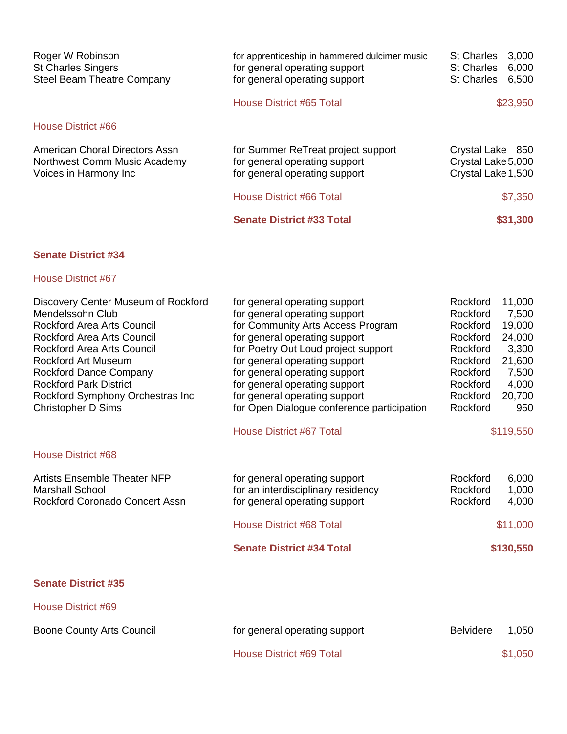| Roger W Robinson<br><b>St Charles Singers</b><br>Steel Beam Theatre Company             | for apprenticeship in hammered dulcimer music<br>for general operating support<br>for general operating support | <b>St Charles</b><br><b>St Charles</b><br><b>St Charles</b>  | 3,000<br>6,000<br>6,500 |
|-----------------------------------------------------------------------------------------|-----------------------------------------------------------------------------------------------------------------|--------------------------------------------------------------|-------------------------|
|                                                                                         | House District #65 Total                                                                                        |                                                              | \$23,950                |
| House District #66                                                                      |                                                                                                                 |                                                              |                         |
| American Choral Directors Assn<br>Northwest Comm Music Academy<br>Voices in Harmony Inc | for Summer ReTreat project support<br>for general operating support<br>for general operating support            | Crystal Lake 850<br>Crystal Lake 5,000<br>Crystal Lake 1,500 |                         |
|                                                                                         | House District #66 Total                                                                                        |                                                              | \$7,350                 |
|                                                                                         | <b>Senate District #33 Total</b>                                                                                |                                                              | \$31,300                |

# House District #67

| Discovery Center Museum of Rockford | for general operating support              | Rockford         | 11,000    |
|-------------------------------------|--------------------------------------------|------------------|-----------|
| Mendelssohn Club                    | for general operating support              | Rockford         | 7,500     |
| <b>Rockford Area Arts Council</b>   | for Community Arts Access Program          | Rockford         | 19,000    |
| Rockford Area Arts Council          | for general operating support              | Rockford         | 24,000    |
| <b>Rockford Area Arts Council</b>   | for Poetry Out Loud project support        | Rockford         | 3,300     |
| <b>Rockford Art Museum</b>          | for general operating support              | Rockford         | 21,600    |
| Rockford Dance Company              | for general operating support              | Rockford         | 7,500     |
| <b>Rockford Park District</b>       | for general operating support              | Rockford         | 4,000     |
| Rockford Symphony Orchestras Inc    | for general operating support              | Rockford         | 20,700    |
| <b>Christopher D Sims</b>           | for Open Dialogue conference participation | Rockford         | 950       |
|                                     | <b>House District #67 Total</b>            |                  | \$119,550 |
| House District #68                  |                                            |                  |           |
| <b>Artists Ensemble Theater NFP</b> | for general operating support              | Rockford         | 6,000     |
| <b>Marshall School</b>              | for an interdisciplinary residency         | Rockford         | 1,000     |
| Rockford Coronado Concert Assn      | for general operating support              | Rockford         | 4,000     |
|                                     | <b>House District #68 Total</b>            |                  | \$11,000  |
|                                     | <b>Senate District #34 Total</b>           |                  | \$130,550 |
| <b>Senate District #35</b>          |                                            |                  |           |
| House District #69                  |                                            |                  |           |
| <b>Boone County Arts Council</b>    | for general operating support              | <b>Belvidere</b> | 1,050     |
|                                     |                                            |                  |           |

House District #69 Total \$1,050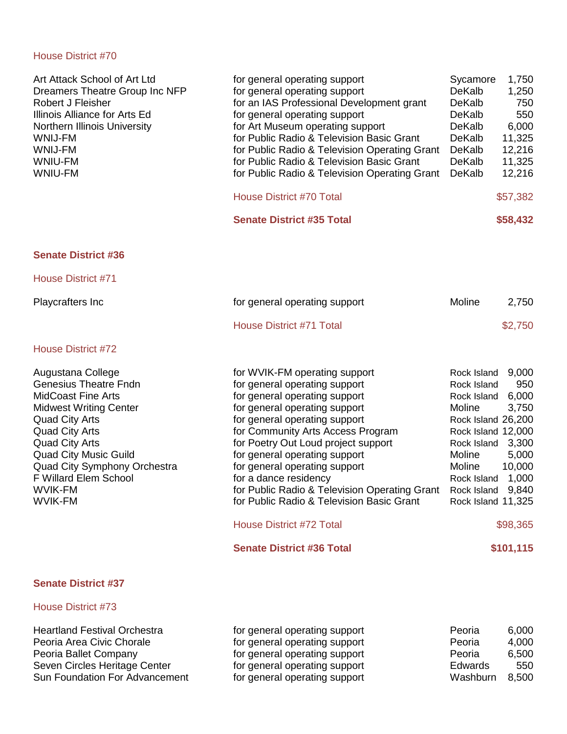| Art Attack School of Art Ltd<br>Dreamers Theatre Group Inc NFP<br>Robert J Fleisher<br>Illinois Alliance for Arts Ed<br>Northern Illinois University<br><b>WNIJ-FM</b><br><b>WNIJ-FM</b><br>WNIU-FM<br>WNIU-FM                                                                                                   | for general operating support<br>for general operating support<br>for an IAS Professional Development grant<br>for general operating support<br>for Art Museum operating support<br>for Public Radio & Television Basic Grant<br>for Public Radio & Television Operating Grant<br>for Public Radio & Television Basic Grant<br>for Public Radio & Television Operating Grant<br><b>House District #70 Total</b><br><b>Senate District #35 Total</b>                                                                             | Sycamore<br>1,750<br>DeKalb<br>1,250<br>DeKalb<br>750<br>DeKalb<br>550<br>6,000<br>DeKalb<br>DeKalb<br>11,325<br>DeKalb<br>12,216<br>DeKalb<br>11,325<br>DeKalb<br>12,216<br>\$57,382<br>\$58,432                                                                       |
|------------------------------------------------------------------------------------------------------------------------------------------------------------------------------------------------------------------------------------------------------------------------------------------------------------------|---------------------------------------------------------------------------------------------------------------------------------------------------------------------------------------------------------------------------------------------------------------------------------------------------------------------------------------------------------------------------------------------------------------------------------------------------------------------------------------------------------------------------------|-------------------------------------------------------------------------------------------------------------------------------------------------------------------------------------------------------------------------------------------------------------------------|
|                                                                                                                                                                                                                                                                                                                  |                                                                                                                                                                                                                                                                                                                                                                                                                                                                                                                                 |                                                                                                                                                                                                                                                                         |
| <b>Senate District #36</b>                                                                                                                                                                                                                                                                                       |                                                                                                                                                                                                                                                                                                                                                                                                                                                                                                                                 |                                                                                                                                                                                                                                                                         |
| <b>House District #71</b>                                                                                                                                                                                                                                                                                        |                                                                                                                                                                                                                                                                                                                                                                                                                                                                                                                                 |                                                                                                                                                                                                                                                                         |
| Playcrafters Inc                                                                                                                                                                                                                                                                                                 | for general operating support                                                                                                                                                                                                                                                                                                                                                                                                                                                                                                   | Moline<br>2,750                                                                                                                                                                                                                                                         |
|                                                                                                                                                                                                                                                                                                                  | <b>House District #71 Total</b>                                                                                                                                                                                                                                                                                                                                                                                                                                                                                                 | \$2,750                                                                                                                                                                                                                                                                 |
| <b>House District #72</b>                                                                                                                                                                                                                                                                                        |                                                                                                                                                                                                                                                                                                                                                                                                                                                                                                                                 |                                                                                                                                                                                                                                                                         |
| Augustana College<br><b>Genesius Theatre Fndn</b><br><b>MidCoast Fine Arts</b><br><b>Midwest Writing Center</b><br><b>Quad City Arts</b><br><b>Quad City Arts</b><br><b>Quad City Arts</b><br><b>Quad City Music Guild</b><br>Quad City Symphony Orchestra<br>F Willard Elem School<br>WVIK-FM<br><b>WVIK-FM</b> | for WVIK-FM operating support<br>for general operating support<br>for general operating support<br>for general operating support<br>for general operating support<br>for Community Arts Access Program<br>for Poetry Out Loud project support<br>for general operating support<br>for general operating support<br>for a dance residency<br>for Public Radio & Television Operating Grant Rock Island 9,840<br>for Public Radio & Television Basic Grant<br><b>House District #72 Total</b><br><b>Senate District #36 Total</b> | 9,000<br>Rock Island<br>950<br>Rock Island<br>6,000<br>Rock Island<br>3,750<br>Moline<br>Rock Island 26,200<br>Rock Island 12,000<br>Rock Island<br>3,300<br>Moline<br>5,000<br>Moline<br>10,000<br>1,000<br>Rock Island<br>Rock Island 11,325<br>\$98,365<br>\$101,115 |
| <b>Senate District #37</b>                                                                                                                                                                                                                                                                                       |                                                                                                                                                                                                                                                                                                                                                                                                                                                                                                                                 |                                                                                                                                                                                                                                                                         |
| House District #73                                                                                                                                                                                                                                                                                               |                                                                                                                                                                                                                                                                                                                                                                                                                                                                                                                                 |                                                                                                                                                                                                                                                                         |

| <b>Heartland Festival Orchestra</b> | for general operating support | Peoria         | 6,000 |
|-------------------------------------|-------------------------------|----------------|-------|
| Peoria Area Civic Chorale           | for general operating support | Peoria         | 4,000 |
| Peoria Ballet Company               | for general operating support | Peoria         | 6,500 |
| Seven Circles Heritage Center       | for general operating support | <b>Edwards</b> | 550   |
| Sun Foundation For Advancement      | for general operating support | Washburn       | 8,500 |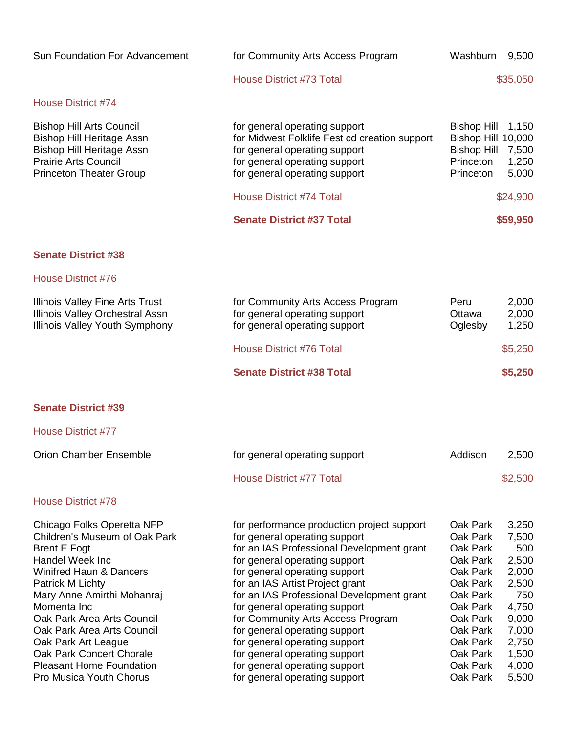| Sun Foundation For Advancement                                                                                                                                                                                                                                                                                                                                                                          | for Community Arts Access Program                                                                                                                                                                                                                                                                                                                                                                                                                                                                                     | Washburn                                                                                                                                                             | 9,500                                                                                                                  |
|---------------------------------------------------------------------------------------------------------------------------------------------------------------------------------------------------------------------------------------------------------------------------------------------------------------------------------------------------------------------------------------------------------|-----------------------------------------------------------------------------------------------------------------------------------------------------------------------------------------------------------------------------------------------------------------------------------------------------------------------------------------------------------------------------------------------------------------------------------------------------------------------------------------------------------------------|----------------------------------------------------------------------------------------------------------------------------------------------------------------------|------------------------------------------------------------------------------------------------------------------------|
|                                                                                                                                                                                                                                                                                                                                                                                                         | <b>House District #73 Total</b>                                                                                                                                                                                                                                                                                                                                                                                                                                                                                       |                                                                                                                                                                      | \$35,050                                                                                                               |
| <b>House District #74</b>                                                                                                                                                                                                                                                                                                                                                                               |                                                                                                                                                                                                                                                                                                                                                                                                                                                                                                                       |                                                                                                                                                                      |                                                                                                                        |
| <b>Bishop Hill Arts Council</b><br><b>Bishop Hill Heritage Assn</b><br><b>Bishop Hill Heritage Assn</b><br><b>Prairie Arts Council</b><br><b>Princeton Theater Group</b>                                                                                                                                                                                                                                | for general operating support<br>for Midwest Folklife Fest cd creation support<br>for general operating support<br>for general operating support<br>for general operating support                                                                                                                                                                                                                                                                                                                                     | <b>Bishop Hill</b><br>Bishop Hill 10,000<br><b>Bishop Hill</b><br>Princeton<br>Princeton                                                                             | 1,150<br>7,500<br>1,250<br>5,000                                                                                       |
|                                                                                                                                                                                                                                                                                                                                                                                                         | <b>House District #74 Total</b>                                                                                                                                                                                                                                                                                                                                                                                                                                                                                       |                                                                                                                                                                      | \$24,900                                                                                                               |
|                                                                                                                                                                                                                                                                                                                                                                                                         | <b>Senate District #37 Total</b>                                                                                                                                                                                                                                                                                                                                                                                                                                                                                      |                                                                                                                                                                      | \$59,950                                                                                                               |
| <b>Senate District #38</b>                                                                                                                                                                                                                                                                                                                                                                              |                                                                                                                                                                                                                                                                                                                                                                                                                                                                                                                       |                                                                                                                                                                      |                                                                                                                        |
| House District #76                                                                                                                                                                                                                                                                                                                                                                                      |                                                                                                                                                                                                                                                                                                                                                                                                                                                                                                                       |                                                                                                                                                                      |                                                                                                                        |
| <b>Illinois Valley Fine Arts Trust</b><br><b>Illinois Valley Orchestral Assn</b><br>Illinois Valley Youth Symphony                                                                                                                                                                                                                                                                                      | for Community Arts Access Program<br>for general operating support<br>for general operating support                                                                                                                                                                                                                                                                                                                                                                                                                   | Peru<br>Ottawa<br>Oglesby                                                                                                                                            | 2,000<br>2,000<br>1,250                                                                                                |
|                                                                                                                                                                                                                                                                                                                                                                                                         | <b>House District #76 Total</b>                                                                                                                                                                                                                                                                                                                                                                                                                                                                                       |                                                                                                                                                                      | \$5,250                                                                                                                |
|                                                                                                                                                                                                                                                                                                                                                                                                         | <b>Senate District #38 Total</b>                                                                                                                                                                                                                                                                                                                                                                                                                                                                                      |                                                                                                                                                                      | \$5,250                                                                                                                |
| <b>Senate District #39</b>                                                                                                                                                                                                                                                                                                                                                                              |                                                                                                                                                                                                                                                                                                                                                                                                                                                                                                                       |                                                                                                                                                                      |                                                                                                                        |
| <b>House District #77</b>                                                                                                                                                                                                                                                                                                                                                                               |                                                                                                                                                                                                                                                                                                                                                                                                                                                                                                                       |                                                                                                                                                                      |                                                                                                                        |
| <b>Orion Chamber Ensemble</b>                                                                                                                                                                                                                                                                                                                                                                           | for general operating support                                                                                                                                                                                                                                                                                                                                                                                                                                                                                         | Addison                                                                                                                                                              | 2,500                                                                                                                  |
|                                                                                                                                                                                                                                                                                                                                                                                                         | <b>House District #77 Total</b>                                                                                                                                                                                                                                                                                                                                                                                                                                                                                       |                                                                                                                                                                      | \$2,500                                                                                                                |
| <b>House District #78</b>                                                                                                                                                                                                                                                                                                                                                                               |                                                                                                                                                                                                                                                                                                                                                                                                                                                                                                                       |                                                                                                                                                                      |                                                                                                                        |
| Chicago Folks Operetta NFP<br>Children's Museum of Oak Park<br><b>Brent E Fogt</b><br><b>Handel Week Inc</b><br><b>Winifred Haun &amp; Dancers</b><br>Patrick M Lichty<br>Mary Anne Amirthi Mohanraj<br>Momenta Inc<br>Oak Park Area Arts Council<br>Oak Park Area Arts Council<br>Oak Park Art League<br><b>Oak Park Concert Chorale</b><br><b>Pleasant Home Foundation</b><br>Pro Musica Youth Chorus | for performance production project support<br>for general operating support<br>for an IAS Professional Development grant<br>for general operating support<br>for general operating support<br>for an IAS Artist Project grant<br>for an IAS Professional Development grant<br>for general operating support<br>for Community Arts Access Program<br>for general operating support<br>for general operating support<br>for general operating support<br>for general operating support<br>for general operating support | Oak Park<br>Oak Park<br>Oak Park<br>Oak Park<br>Oak Park<br>Oak Park<br>Oak Park<br>Oak Park<br>Oak Park<br>Oak Park<br>Oak Park<br>Oak Park<br>Oak Park<br>Oak Park | 3,250<br>7,500<br>500<br>2,500<br>2,000<br>2,500<br>750<br>4,750<br>9,000<br>7,000<br>2,750<br>1,500<br>4,000<br>5,500 |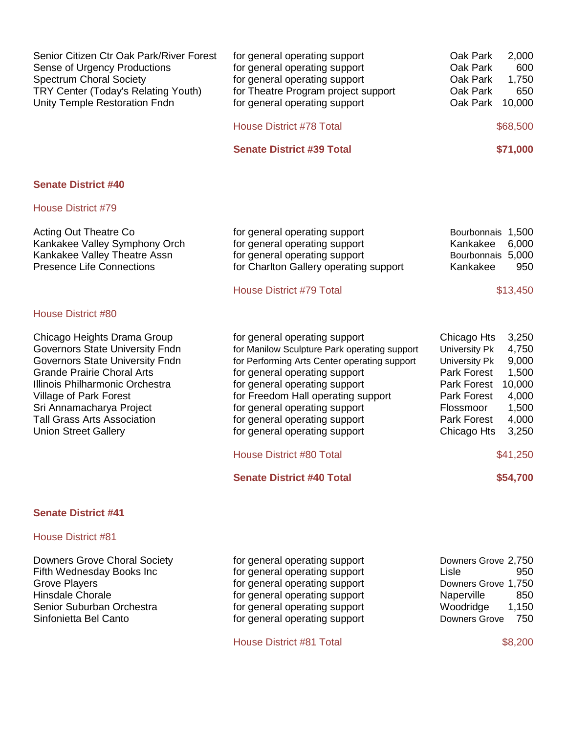| Senior Citizen Ctr Oak Park/River Forest<br>Sense of Urgency Productions<br><b>Spectrum Choral Society</b><br>TRY Center (Today's Relating Youth)<br>Unity Temple Restoration Fndn                                                                                                                                 | for general operating support<br>for general operating support<br>for general operating support<br>for Theatre Program project support<br>for general operating support                                                                                                                                                                  | Oak Park<br>2,000<br>Oak Park<br>600<br>Oak Park<br>1,750<br>650<br>Oak Park<br>Oak Park<br>10,000                                                                                                                                           |
|--------------------------------------------------------------------------------------------------------------------------------------------------------------------------------------------------------------------------------------------------------------------------------------------------------------------|------------------------------------------------------------------------------------------------------------------------------------------------------------------------------------------------------------------------------------------------------------------------------------------------------------------------------------------|----------------------------------------------------------------------------------------------------------------------------------------------------------------------------------------------------------------------------------------------|
|                                                                                                                                                                                                                                                                                                                    | <b>House District #78 Total</b>                                                                                                                                                                                                                                                                                                          | \$68,500                                                                                                                                                                                                                                     |
|                                                                                                                                                                                                                                                                                                                    | <b>Senate District #39 Total</b>                                                                                                                                                                                                                                                                                                         | \$71,000                                                                                                                                                                                                                                     |
| <b>Senate District #40</b>                                                                                                                                                                                                                                                                                         |                                                                                                                                                                                                                                                                                                                                          |                                                                                                                                                                                                                                              |
| <b>House District #79</b>                                                                                                                                                                                                                                                                                          |                                                                                                                                                                                                                                                                                                                                          |                                                                                                                                                                                                                                              |
| <b>Acting Out Theatre Co</b><br>Kankakee Valley Symphony Orch<br>Kankakee Valley Theatre Assn<br><b>Presence Life Connections</b>                                                                                                                                                                                  | for general operating support<br>for general operating support<br>for general operating support<br>for Charlton Gallery operating support<br><b>House District #79 Total</b>                                                                                                                                                             | Bourbonnais 1,500<br>Kankakee<br>6,000<br>Bourbonnais 5,000<br>Kankakee<br>950<br>\$13,450                                                                                                                                                   |
| <b>House District #80</b>                                                                                                                                                                                                                                                                                          |                                                                                                                                                                                                                                                                                                                                          |                                                                                                                                                                                                                                              |
| Chicago Heights Drama Group<br><b>Governors State University Fndn</b><br><b>Governors State University Fndn</b><br><b>Grande Prairie Choral Arts</b><br>Illinois Philharmonic Orchestra<br>Village of Park Forest<br>Sri Annamacharya Project<br><b>Tall Grass Arts Association</b><br><b>Union Street Gallery</b> | for general operating support<br>for Manilow Sculpture Park operating support<br>for Performing Arts Center operating support<br>for general operating support<br>for general operating support<br>for Freedom Hall operating support<br>for general operating support<br>for general operating support<br>for general operating support | Chicago Hts<br>3,250<br>4,750<br>University Pk<br>9,000<br><b>University Pk</b><br>Park Forest<br>1,500<br>10,000<br><b>Park Forest</b><br>4,000<br><b>Park Forest</b><br>1,500<br>Flossmoor<br>4,000<br>Park Forest<br>3,250<br>Chicago Hts |
|                                                                                                                                                                                                                                                                                                                    | <b>House District #80 Total</b>                                                                                                                                                                                                                                                                                                          | \$41,250                                                                                                                                                                                                                                     |
|                                                                                                                                                                                                                                                                                                                    | <b>Senate District #40 Total</b>                                                                                                                                                                                                                                                                                                         | \$54,700                                                                                                                                                                                                                                     |
| <b>Senate District #41</b>                                                                                                                                                                                                                                                                                         |                                                                                                                                                                                                                                                                                                                                          |                                                                                                                                                                                                                                              |
| <b>House District #81</b>                                                                                                                                                                                                                                                                                          |                                                                                                                                                                                                                                                                                                                                          |                                                                                                                                                                                                                                              |
| <b>Downers Grove Choral Society</b>                                                                                                                                                                                                                                                                                | for general operating support                                                                                                                                                                                                                                                                                                            | Downers Grove 2,750                                                                                                                                                                                                                          |

| Downers Grove Choral Society | for general operating support | Downers Grove 2,750  |
|------------------------------|-------------------------------|----------------------|
| Fifth Wednesday Books Inc    | for general operating support | 950<br>Lisle         |
| Grove Players                | for general operating support | Downers Grove 1,750  |
| Hinsdale Chorale             | for general operating support | Naperville<br>850    |
| Senior Suburban Orchestra    | for general operating support | 1,150<br>Woodridge   |
| Sinfonietta Bel Canto        | for general operating support | 750<br>Downers Grove |
|                              |                               |                      |

House District #81 Total \$8,200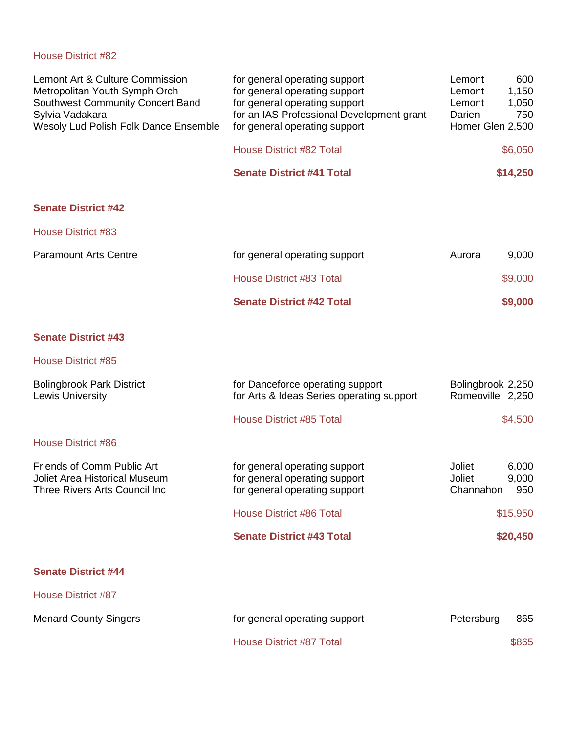| Lemont Art & Culture Commission<br>Metropolitan Youth Symph Orch<br>Southwest Community Concert Band<br>Sylvia Vadakara<br>Wesoly Lud Polish Folk Dance Ensemble | for general operating support<br>for general operating support<br>for general operating support<br>for an IAS Professional Development grant<br>for general operating support | Lemont<br>Lemont<br>Lemont<br>Darien<br>Homer Glen 2,500 | 600<br>1,150<br>1,050<br>750 |
|------------------------------------------------------------------------------------------------------------------------------------------------------------------|-------------------------------------------------------------------------------------------------------------------------------------------------------------------------------|----------------------------------------------------------|------------------------------|
|                                                                                                                                                                  | <b>House District #82 Total</b>                                                                                                                                               |                                                          | \$6,050                      |
|                                                                                                                                                                  | <b>Senate District #41 Total</b>                                                                                                                                              |                                                          | \$14,250                     |
| <b>Senate District #42</b>                                                                                                                                       |                                                                                                                                                                               |                                                          |                              |
| House District #83                                                                                                                                               |                                                                                                                                                                               |                                                          |                              |
| <b>Paramount Arts Centre</b>                                                                                                                                     | for general operating support                                                                                                                                                 | Aurora                                                   | 9,000                        |
|                                                                                                                                                                  | <b>House District #83 Total</b>                                                                                                                                               |                                                          | \$9,000                      |
|                                                                                                                                                                  | <b>Senate District #42 Total</b>                                                                                                                                              |                                                          | \$9,000                      |
| <b>Senate District #43</b>                                                                                                                                       |                                                                                                                                                                               |                                                          |                              |
| <b>House District #85</b>                                                                                                                                        |                                                                                                                                                                               |                                                          |                              |
| <b>Bolingbrook Park District</b><br><b>Lewis University</b>                                                                                                      | for Danceforce operating support<br>for Arts & Ideas Series operating support                                                                                                 | Bolingbrook 2,250<br>Romeoville 2,250                    |                              |
|                                                                                                                                                                  | <b>House District #85 Total</b>                                                                                                                                               |                                                          | \$4,500                      |
| <b>House District #86</b>                                                                                                                                        |                                                                                                                                                                               |                                                          |                              |
| Friends of Comm Public Art<br>Joliet Area Historical Museum<br>Three Rivers Arts Council Inc                                                                     | for general operating support<br>for general operating support<br>for general operating support                                                                               | Joliet<br>Joliet<br>Channahon                            | 6,000<br>9,000<br>950        |
|                                                                                                                                                                  | <b>House District #86 Total</b>                                                                                                                                               |                                                          | \$15,950                     |
|                                                                                                                                                                  | <b>Senate District #43 Total</b>                                                                                                                                              |                                                          | \$20,450                     |
| <b>Senate District #44</b>                                                                                                                                       |                                                                                                                                                                               |                                                          |                              |
| <b>House District #87</b>                                                                                                                                        |                                                                                                                                                                               |                                                          |                              |
| <b>Menard County Singers</b>                                                                                                                                     | for general operating support                                                                                                                                                 | Petersburg                                               | 865                          |
|                                                                                                                                                                  | House District #87 Total                                                                                                                                                      |                                                          | \$865                        |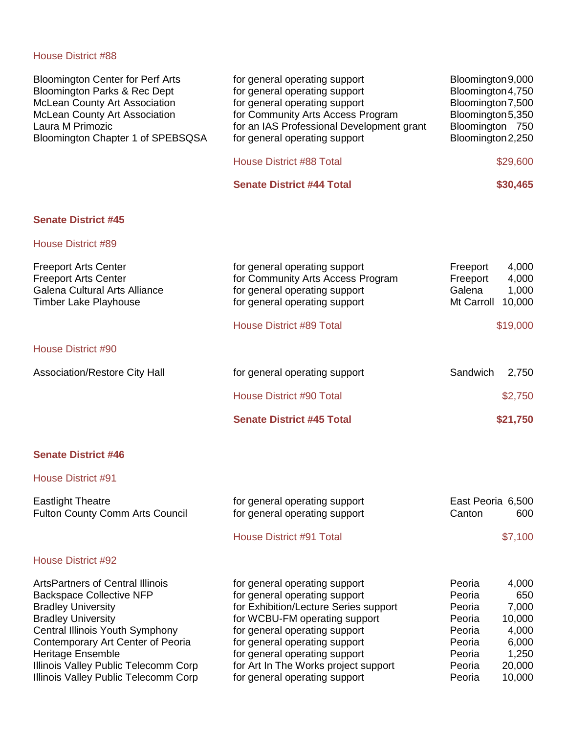| <b>Bloomington Center for Perf Arts</b><br>Bloomington Parks & Rec Dept<br><b>McLean County Art Association</b><br><b>McLean County Art Association</b><br>Laura M Primozic<br>Bloomington Chapter 1 of SPEBSQSA                                                                                                  | for general operating support<br>for general operating support<br>for general operating support<br>for Community Arts Access Program<br>for an IAS Professional Development grant<br>for general operating support                                                                                                   | Bloomington 9,000<br>Bloomington 4,750<br>Bloomington 7,500<br>Bloomington 5,350<br>Bloomington 750<br>Bloomington 2,250                                                 |
|-------------------------------------------------------------------------------------------------------------------------------------------------------------------------------------------------------------------------------------------------------------------------------------------------------------------|----------------------------------------------------------------------------------------------------------------------------------------------------------------------------------------------------------------------------------------------------------------------------------------------------------------------|--------------------------------------------------------------------------------------------------------------------------------------------------------------------------|
|                                                                                                                                                                                                                                                                                                                   | <b>House District #88 Total</b>                                                                                                                                                                                                                                                                                      | \$29,600                                                                                                                                                                 |
|                                                                                                                                                                                                                                                                                                                   | <b>Senate District #44 Total</b>                                                                                                                                                                                                                                                                                     | \$30,465                                                                                                                                                                 |
| <b>Senate District #45</b>                                                                                                                                                                                                                                                                                        |                                                                                                                                                                                                                                                                                                                      |                                                                                                                                                                          |
| <b>House District #89</b>                                                                                                                                                                                                                                                                                         |                                                                                                                                                                                                                                                                                                                      |                                                                                                                                                                          |
| <b>Freeport Arts Center</b><br><b>Freeport Arts Center</b><br><b>Galena Cultural Arts Alliance</b><br><b>Timber Lake Playhouse</b>                                                                                                                                                                                | for general operating support<br>for Community Arts Access Program<br>for general operating support<br>for general operating support                                                                                                                                                                                 | 4,000<br>Freeport<br>Freeport<br>4,000<br>Galena<br>1,000<br>10,000<br>Mt Carroll                                                                                        |
|                                                                                                                                                                                                                                                                                                                   | <b>House District #89 Total</b>                                                                                                                                                                                                                                                                                      | \$19,000                                                                                                                                                                 |
| <b>House District #90</b>                                                                                                                                                                                                                                                                                         |                                                                                                                                                                                                                                                                                                                      |                                                                                                                                                                          |
| Association/Restore City Hall                                                                                                                                                                                                                                                                                     | for general operating support                                                                                                                                                                                                                                                                                        | Sandwich<br>2,750                                                                                                                                                        |
|                                                                                                                                                                                                                                                                                                                   | <b>House District #90 Total</b>                                                                                                                                                                                                                                                                                      | \$2,750                                                                                                                                                                  |
|                                                                                                                                                                                                                                                                                                                   | <b>Senate District #45 Total</b>                                                                                                                                                                                                                                                                                     | \$21,750                                                                                                                                                                 |
| <b>Senate District #46</b>                                                                                                                                                                                                                                                                                        |                                                                                                                                                                                                                                                                                                                      |                                                                                                                                                                          |
| <b>House District #91</b>                                                                                                                                                                                                                                                                                         |                                                                                                                                                                                                                                                                                                                      |                                                                                                                                                                          |
| <b>Eastlight Theatre</b><br>Fulton County Comm Arts Council                                                                                                                                                                                                                                                       | for general operating support<br>for general operating support                                                                                                                                                                                                                                                       | East Peoria 6,500<br>Canton<br>600                                                                                                                                       |
|                                                                                                                                                                                                                                                                                                                   | <b>House District #91 Total</b>                                                                                                                                                                                                                                                                                      | \$7,100                                                                                                                                                                  |
| <b>House District #92</b>                                                                                                                                                                                                                                                                                         |                                                                                                                                                                                                                                                                                                                      |                                                                                                                                                                          |
| <b>ArtsPartners of Central Illinois</b><br><b>Backspace Collective NFP</b><br><b>Bradley University</b><br><b>Bradley University</b><br>Central Illinois Youth Symphony<br>Contemporary Art Center of Peoria<br>Heritage Ensemble<br>Illinois Valley Public Telecomm Corp<br>Illinois Valley Public Telecomm Corp | for general operating support<br>for general operating support<br>for Exhibition/Lecture Series support<br>for WCBU-FM operating support<br>for general operating support<br>for general operating support<br>for general operating support<br>for Art In The Works project support<br>for general operating support | Peoria<br>4,000<br>Peoria<br>650<br>7,000<br>Peoria<br>10,000<br>Peoria<br>Peoria<br>4,000<br>Peoria<br>6,000<br>Peoria<br>1,250<br>20,000<br>Peoria<br>Peoria<br>10,000 |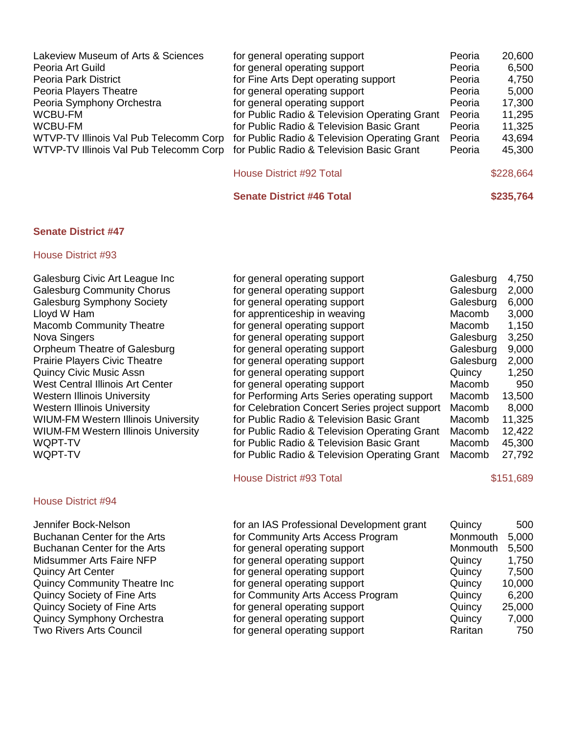| Lakeview Museum of Arts & Sciences                                               | for general operating support                 | Peoria | 20,600 |
|----------------------------------------------------------------------------------|-----------------------------------------------|--------|--------|
| Peoria Art Guild                                                                 | for general operating support                 | Peoria | 6,500  |
| Peoria Park District                                                             | for Fine Arts Dept operating support          | Peoria | 4,750  |
| Peoria Players Theatre                                                           | for general operating support                 | Peoria | 5,000  |
| Peoria Symphony Orchestra                                                        | for general operating support                 | Peoria | 17,300 |
| WCBU-FM                                                                          | for Public Radio & Television Operating Grant | Peoria | 11,295 |
| WCBU-FM                                                                          | for Public Radio & Television Basic Grant     | Peoria | 11,325 |
| WTVP-TV Illinois Val Pub Telecomm Corp                                           | for Public Radio & Television Operating Grant | Peoria | 43,694 |
| WTVP-TV Illinois Val Pub Telecomm Corp for Public Radio & Television Basic Grant |                                               | Peoria | 45,300 |
|                                                                                  |                                               |        |        |

| \$228,664 |
|-----------|
|           |

**Senate District #46 Total \$235,764**

# **Senate District #47**

| for general operating support                  | Galesburg | 4,750     |
|------------------------------------------------|-----------|-----------|
| for general operating support                  | Galesburg | 2,000     |
| for general operating support                  | Galesburg | 6,000     |
| for apprenticeship in weaving                  | Macomb    | 3,000     |
| for general operating support                  | Macomb    | 1,150     |
| for general operating support                  | Galesburg | 3,250     |
| for general operating support                  | Galesburg | 9,000     |
| for general operating support                  | Galesburg | 2,000     |
| for general operating support                  | Quincy    | 1,250     |
| for general operating support                  | Macomb    | 950       |
| for Performing Arts Series operating support   | Macomb    | 13,500    |
| for Celebration Concert Series project support | Macomb    | 8,000     |
| for Public Radio & Television Basic Grant      | Macomb    | 11,325    |
| for Public Radio & Television Operating Grant  | Macomb    | 12,422    |
| for Public Radio & Television Basic Grant      | Macomb    | 45,300    |
| for Public Radio & Television Operating Grant  | Macomb    | 27,792    |
| <b>House District #93 Total</b>                |           | \$151,689 |
|                                                |           |           |
| for an IAS Professional Development grant      | Quincy    | 500       |
|                                                |           |           |

| JUILIIU DUCK-INUSULI                 | <u>tor an IAS Froiessional Development grant</u> | QUILICY  | ouu    |
|--------------------------------------|--------------------------------------------------|----------|--------|
| Buchanan Center for the Arts         | for Community Arts Access Program                | Monmouth | 5,000  |
| Buchanan Center for the Arts         | for general operating support                    | Monmouth | 5,500  |
| Midsummer Arts Faire NFP             | for general operating support                    | Quincy   | 1,750  |
| <b>Quincy Art Center</b>             | for general operating support                    | Quincy   | 7,500  |
| <b>Quincy Community Theatre Inc.</b> | for general operating support                    | Quincy   | 10,000 |
| <b>Quincy Society of Fine Arts</b>   | for Community Arts Access Program                | Quincy   | 6,200  |
| <b>Quincy Society of Fine Arts</b>   | for general operating support                    | Quincy   | 25,000 |
| Quincy Symphony Orchestra            | for general operating support                    | Quincy   | 7,000  |
| <b>Two Rivers Arts Council</b>       | for general operating support                    | Raritan  | 750    |
|                                      |                                                  |          |        |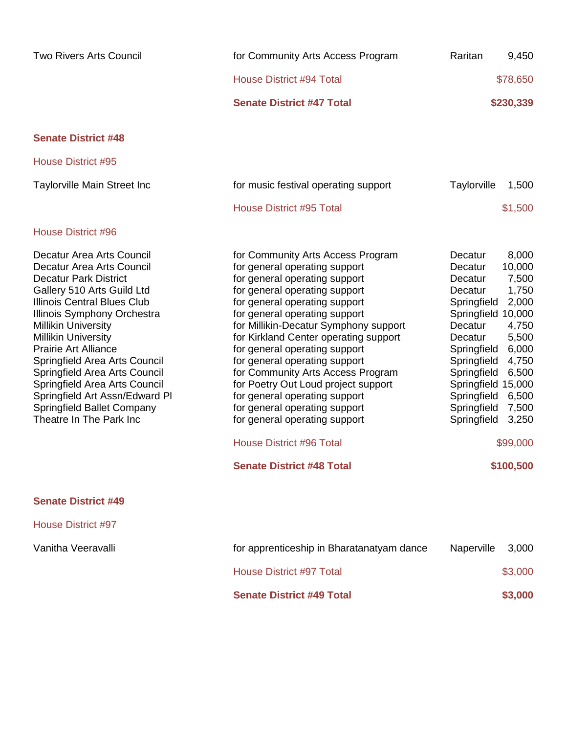| <b>Two Rivers Arts Council</b>                                                                                                                                                                                                                                                                                                                                                                                                                                              | for Community Arts Access Program                                                                                                                                                                                                                                                                                                                                                                                                                                                                                                                                                                                | Raritan                                                                                                                                                                                                             | 9,450                                                                                                                                       |
|-----------------------------------------------------------------------------------------------------------------------------------------------------------------------------------------------------------------------------------------------------------------------------------------------------------------------------------------------------------------------------------------------------------------------------------------------------------------------------|------------------------------------------------------------------------------------------------------------------------------------------------------------------------------------------------------------------------------------------------------------------------------------------------------------------------------------------------------------------------------------------------------------------------------------------------------------------------------------------------------------------------------------------------------------------------------------------------------------------|---------------------------------------------------------------------------------------------------------------------------------------------------------------------------------------------------------------------|---------------------------------------------------------------------------------------------------------------------------------------------|
|                                                                                                                                                                                                                                                                                                                                                                                                                                                                             | <b>House District #94 Total</b>                                                                                                                                                                                                                                                                                                                                                                                                                                                                                                                                                                                  |                                                                                                                                                                                                                     | \$78,650                                                                                                                                    |
|                                                                                                                                                                                                                                                                                                                                                                                                                                                                             | <b>Senate District #47 Total</b>                                                                                                                                                                                                                                                                                                                                                                                                                                                                                                                                                                                 |                                                                                                                                                                                                                     | \$230,339                                                                                                                                   |
| <b>Senate District #48</b>                                                                                                                                                                                                                                                                                                                                                                                                                                                  |                                                                                                                                                                                                                                                                                                                                                                                                                                                                                                                                                                                                                  |                                                                                                                                                                                                                     |                                                                                                                                             |
| House District #95                                                                                                                                                                                                                                                                                                                                                                                                                                                          |                                                                                                                                                                                                                                                                                                                                                                                                                                                                                                                                                                                                                  |                                                                                                                                                                                                                     |                                                                                                                                             |
| <b>Taylorville Main Street Inc</b>                                                                                                                                                                                                                                                                                                                                                                                                                                          | for music festival operating support                                                                                                                                                                                                                                                                                                                                                                                                                                                                                                                                                                             | Taylorville                                                                                                                                                                                                         | 1,500                                                                                                                                       |
|                                                                                                                                                                                                                                                                                                                                                                                                                                                                             | <b>House District #95 Total</b>                                                                                                                                                                                                                                                                                                                                                                                                                                                                                                                                                                                  |                                                                                                                                                                                                                     | \$1,500                                                                                                                                     |
| <b>House District #96</b>                                                                                                                                                                                                                                                                                                                                                                                                                                                   |                                                                                                                                                                                                                                                                                                                                                                                                                                                                                                                                                                                                                  |                                                                                                                                                                                                                     |                                                                                                                                             |
| Decatur Area Arts Council<br>Decatur Area Arts Council<br><b>Decatur Park District</b><br>Gallery 510 Arts Guild Ltd<br>Illinois Central Blues Club<br>Illinois Symphony Orchestra<br><b>Millikin University</b><br><b>Millikin University</b><br><b>Prairie Art Alliance</b><br>Springfield Area Arts Council<br>Springfield Area Arts Council<br>Springfield Area Arts Council<br>Springfield Art Assn/Edward Pl<br>Springfield Ballet Company<br>Theatre In The Park Inc | for Community Arts Access Program<br>for general operating support<br>for general operating support<br>for general operating support<br>for general operating support<br>for general operating support<br>for Millikin-Decatur Symphony support<br>for Kirkland Center operating support<br>for general operating support<br>for general operating support<br>for Community Arts Access Program<br>for Poetry Out Loud project support<br>for general operating support<br>for general operating support<br>for general operating support<br><b>House District #96 Total</b><br><b>Senate District #48 Total</b> | Decatur<br>Decatur<br>Decatur<br>Decatur<br>Springfield<br>Springfield 10,000<br>Decatur<br>Decatur<br>Springfield<br>Springfield<br>Springfield<br>Springfield 15,000<br>Springfield<br>Springfield<br>Springfield | 8,000<br>10,000<br>7,500<br>1,750<br>2,000<br>4,750<br>5,500<br>6,000<br>4,750<br>6,500<br>6,500<br>7,500<br>3,250<br>\$99,000<br>\$100,500 |
| <b>Senate District #49</b>                                                                                                                                                                                                                                                                                                                                                                                                                                                  |                                                                                                                                                                                                                                                                                                                                                                                                                                                                                                                                                                                                                  |                                                                                                                                                                                                                     |                                                                                                                                             |
| <b>House District #97</b>                                                                                                                                                                                                                                                                                                                                                                                                                                                   |                                                                                                                                                                                                                                                                                                                                                                                                                                                                                                                                                                                                                  |                                                                                                                                                                                                                     |                                                                                                                                             |
| Vanitha Veeravalli                                                                                                                                                                                                                                                                                                                                                                                                                                                          | for apprenticeship in Bharatanatyam dance                                                                                                                                                                                                                                                                                                                                                                                                                                                                                                                                                                        | Naperville                                                                                                                                                                                                          | 3,000                                                                                                                                       |
|                                                                                                                                                                                                                                                                                                                                                                                                                                                                             | <b>House District #97 Total</b>                                                                                                                                                                                                                                                                                                                                                                                                                                                                                                                                                                                  |                                                                                                                                                                                                                     | \$3,000                                                                                                                                     |
|                                                                                                                                                                                                                                                                                                                                                                                                                                                                             | <b>Senate District #49 Total</b>                                                                                                                                                                                                                                                                                                                                                                                                                                                                                                                                                                                 |                                                                                                                                                                                                                     | \$3,000                                                                                                                                     |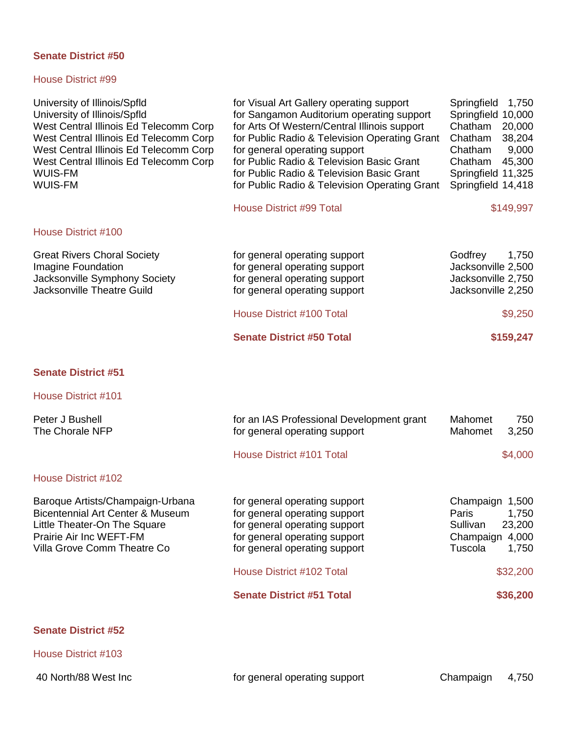# House District #99

| University of Illinois/Spfld<br>University of Illinois/Spfld<br>West Central Illinois Ed Telecomm Corp<br>West Central Illinois Ed Telecomm Corp<br>West Central Illinois Ed Telecomm Corp<br>West Central Illinois Ed Telecomm Corp<br>WUIS-FM<br>WUIS-FM | for Visual Art Gallery operating support<br>for Sangamon Auditorium operating support<br>for Arts Of Western/Central Illinois support<br>for Public Radio & Television Operating Grant<br>for general operating support<br>for Public Radio & Television Basic Grant<br>for Public Radio & Television Basic Grant<br>for Public Radio & Television Operating Grant | Springfield<br>1,750<br>Springfield 10,000<br>Chatham<br>20,000<br>Chatham<br>38,204<br>9,000<br>Chatham<br>45,300<br>Chatham<br>Springfield 11,325<br>Springfield 14,418 |
|------------------------------------------------------------------------------------------------------------------------------------------------------------------------------------------------------------------------------------------------------------|--------------------------------------------------------------------------------------------------------------------------------------------------------------------------------------------------------------------------------------------------------------------------------------------------------------------------------------------------------------------|---------------------------------------------------------------------------------------------------------------------------------------------------------------------------|
|                                                                                                                                                                                                                                                            | <b>House District #99 Total</b>                                                                                                                                                                                                                                                                                                                                    | \$149,997                                                                                                                                                                 |
| House District #100                                                                                                                                                                                                                                        |                                                                                                                                                                                                                                                                                                                                                                    |                                                                                                                                                                           |
| <b>Great Rivers Choral Society</b><br>Imagine Foundation<br>Jacksonville Symphony Society<br>Jacksonville Theatre Guild                                                                                                                                    | for general operating support<br>for general operating support<br>for general operating support<br>for general operating support                                                                                                                                                                                                                                   | Godfrey<br>1,750<br>Jacksonville 2,500<br>Jacksonville 2,750<br>Jacksonville 2,250                                                                                        |
|                                                                                                                                                                                                                                                            | <b>House District #100 Total</b>                                                                                                                                                                                                                                                                                                                                   | \$9,250                                                                                                                                                                   |
|                                                                                                                                                                                                                                                            | <b>Senate District #50 Total</b>                                                                                                                                                                                                                                                                                                                                   | \$159,247                                                                                                                                                                 |
| <b>Senate District #51</b>                                                                                                                                                                                                                                 |                                                                                                                                                                                                                                                                                                                                                                    |                                                                                                                                                                           |
| House District #101                                                                                                                                                                                                                                        |                                                                                                                                                                                                                                                                                                                                                                    |                                                                                                                                                                           |
| Peter J Bushell<br>The Chorale NFP                                                                                                                                                                                                                         | for an IAS Professional Development grant<br>for general operating support                                                                                                                                                                                                                                                                                         | Mahomet<br>750<br>Mahomet<br>3,250                                                                                                                                        |
|                                                                                                                                                                                                                                                            | <b>House District #101 Total</b>                                                                                                                                                                                                                                                                                                                                   | \$4,000                                                                                                                                                                   |
| <b>House District #102</b>                                                                                                                                                                                                                                 |                                                                                                                                                                                                                                                                                                                                                                    |                                                                                                                                                                           |
| Baroque Artists/Champaign-Urbana<br>Bicentennial Art Center & Museum<br>Little Theater-On The Square<br>Prairie Air Inc WEFT-FM<br>Villa Grove Comm Theatre Co                                                                                             | for general operating support<br>for general operating support<br>for general operating support<br>for general operating support<br>for general operating support<br><b>House District #102 Total</b>                                                                                                                                                              | Champaign 1,500<br>1,750<br>Paris<br>Sullivan<br>23,200<br>Champaign<br>4,000<br>Tuscola<br>1,750                                                                         |
|                                                                                                                                                                                                                                                            |                                                                                                                                                                                                                                                                                                                                                                    | \$32,200                                                                                                                                                                  |
|                                                                                                                                                                                                                                                            | <b>Senate District #51 Total</b>                                                                                                                                                                                                                                                                                                                                   | \$36,200                                                                                                                                                                  |
| <b>Senate District #52</b>                                                                                                                                                                                                                                 |                                                                                                                                                                                                                                                                                                                                                                    |                                                                                                                                                                           |

House District #103

40 North/88 West Inc **Form 20 and 31 September 10 and 40 September 20 and 4**,750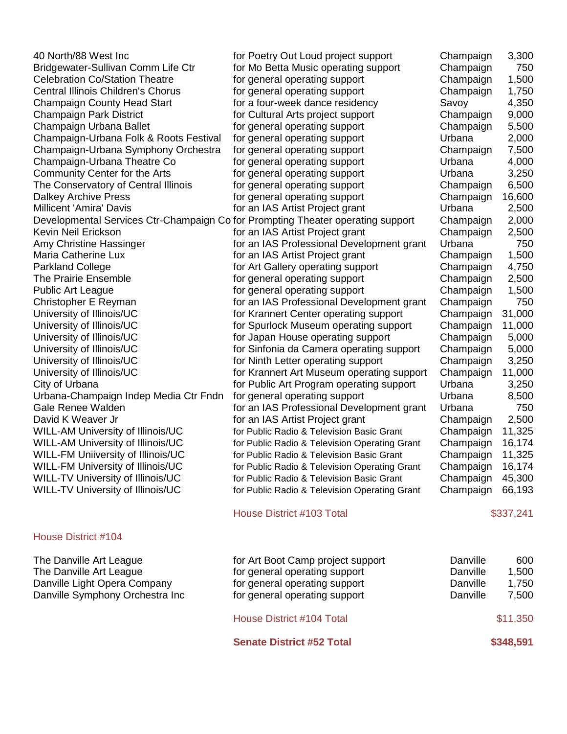40 North/88 West Inc Bridgewater-Sullivan Comm Life Ctr Celebration Co/Station Theatre Central Illinois Children's Chorus Champaign County Head Start Champaign Park District Champaign Urbana Ballet Champaign-Urbana Folk & Roots Festival f Champaign-Urbana Symphony Orchestra Champaign-Urbana Theatre Co Community Center for the Arts The Conservatory of Central Illinois Dalkey Archive Press Millicent 'Amira' Davis Developmental Services Ctr-Champaign Co f Kevin Neil Erickson Amy Christine Hassinger Maria Catherine Lux Parkland College The Prairie Ensemble Public Art League Christopher E Reyman University of Illinois/UC University of Illinois/UC University of Illinois/UC University of Illinois/UC University of Illinois/UC University of Illinois/UC City of Urbana Urbana-Champaign Indep Media Ctr Fndn Gale Renee Walden David K Weaver Jr WILL-AM University of Illinois/UC WILL-AM University of Illinois/UC WILL-FM Uniiversity of Illinois/UC WILL-FM University of Illinois/UC WILL-TV University of Illinois/UC WILL-TV University of Illinois/UC

#### House District #104

The Danville Art League The Danville Art League Danville Light Opera Company Danville Symphony Orchestra Inc

| or Poetry Out Loud project support           | Champaign | 3,300  |
|----------------------------------------------|-----------|--------|
| for Mo Betta Music operating support         | Champaign | 750    |
| or general operating support                 | Champaign | 1,500  |
| or general operating support                 | Champaign | 1,750  |
| for a four-week dance residency              | Savoy     | 4,350  |
| for Cultural Arts project support            | Champaign | 9,000  |
| for general operating support                | Champaign | 5,500  |
| or general operating support                 | Urbana    | 2,000  |
| or general operating support                 | Champaign | 7,500  |
| or general operating support                 | Urbana    | 4,000  |
| or general operating support                 | Urbana    | 3,250  |
| or general operating support                 | Champaign | 6,500  |
| for general operating support                | Champaign | 16,600 |
| for an IAS Artist Project grant              | Urbana    | 2,500  |
| for Prompting Theater operating support      | Champaign | 2,000  |
| for an IAS Artist Project grant              | Champaign | 2,500  |
| for an IAS Professional Development grant    | Urbana    | 750    |
| for an IAS Artist Project grant              | Champaign | 1,500  |
| for Art Gallery operating support            | Champaign | 4,750  |
| or general operating support                 | Champaign | 2,500  |
| or general operating support                 | Champaign | 1,500  |
| for an IAS Professional Development grant    | Champaign | 750    |
| for Krannert Center operating support        | Champaign | 31,000 |
| for Spurlock Museum operating support        | Champaign | 11,000 |
| for Japan House operating support            | Champaign | 5,000  |
| for Sinfonia da Camera operating support     | Champaign | 5,000  |
| for Ninth Letter operating support           | Champaign | 3,250  |
| for Krannert Art Museum operating support    | Champaign | 11,000 |
| for Public Art Program operating support     | Urbana    | 3,250  |
| or general operating support                 | Urbana    | 8,500  |
| for an IAS Professional Development grant    | Urbana    | 750    |
| for an IAS Artist Project grant              | Champaign | 2,500  |
| or Public Radio & Television Basic Grant     | Champaign | 11,325 |
| or Public Radio & Television Operating Grant | Champaign | 16,174 |
| or Public Radio & Television Basic Grant     | Champaign | 11,325 |
| or Public Radio & Television Operating Grant | Champaign | 16,174 |
| or Public Radio & Television Basic Grant     | Champaign | 45,300 |
| or Public Radio & Television Operating Grant | Champaign | 66,193 |
|                                              |           |        |

#### House District #103 Total \$337,241

| for Art Boot Camp project support<br>for general operating support<br>for general operating support | Danville<br>Danville<br>Danville | 600<br>1,500<br>1,750 |
|-----------------------------------------------------------------------------------------------------|----------------------------------|-----------------------|
| for general operating support                                                                       | Danville                         | 7,500                 |
| House District #104 Total                                                                           |                                  | \$11,350              |
| <b>Senate District #52 Total</b>                                                                    |                                  | \$348,591             |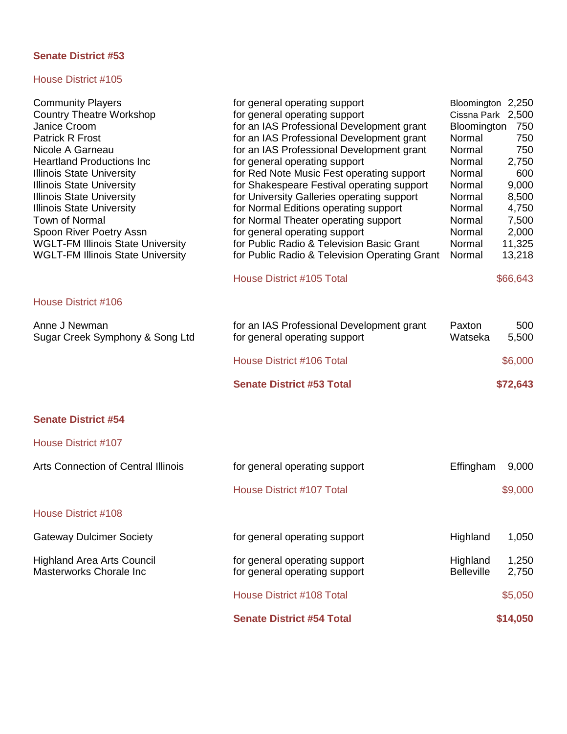| <b>Community Players</b>                   | for general operating support                                                          | Bloomington 2,250     |            |
|--------------------------------------------|----------------------------------------------------------------------------------------|-----------------------|------------|
| <b>Country Theatre Workshop</b>            | for general operating support                                                          | Cissna Park 2,500     |            |
| Janice Croom<br><b>Patrick R Frost</b>     | for an IAS Professional Development grant<br>for an IAS Professional Development grant | Bloomington<br>Normal | 750<br>750 |
| Nicole A Garneau                           | for an IAS Professional Development grant                                              | Normal                | 750        |
| <b>Heartland Productions Inc</b>           | for general operating support                                                          | Normal                | 2,750      |
| <b>Illinois State University</b>           | for Red Note Music Fest operating support                                              | Normal                | 600        |
| <b>Illinois State University</b>           | for Shakespeare Festival operating support                                             | Normal                | 9,000      |
| <b>Illinois State University</b>           | for University Galleries operating support                                             | Normal                | 8,500      |
| <b>Illinois State University</b>           | for Normal Editions operating support                                                  | Normal                | 4,750      |
| <b>Town of Normal</b>                      | for Normal Theater operating support                                                   | Normal                | 7,500      |
| Spoon River Poetry Assn                    | for general operating support                                                          | Normal                | 2,000      |
| <b>WGLT-FM Illinois State University</b>   | for Public Radio & Television Basic Grant                                              | Normal                | 11,325     |
| <b>WGLT-FM Illinois State University</b>   | for Public Radio & Television Operating Grant                                          | Normal                | 13,218     |
|                                            |                                                                                        |                       |            |
|                                            | House District #105 Total                                                              |                       | \$66,643   |
| <b>House District #106</b>                 |                                                                                        |                       |            |
| Anne J Newman                              | for an IAS Professional Development grant                                              | Paxton                | 500        |
| Sugar Creek Symphony & Song Ltd            | for general operating support                                                          | Watseka               | 5,500      |
|                                            | House District #106 Total                                                              |                       | \$6,000    |
|                                            | <b>Senate District #53 Total</b>                                                       |                       | \$72,643   |
|                                            |                                                                                        |                       |            |
| <b>Senate District #54</b>                 |                                                                                        |                       |            |
| <b>House District #107</b>                 |                                                                                        |                       |            |
| <b>Arts Connection of Central Illinois</b> | for general operating support                                                          | Effingham             | 9,000      |
|                                            | <b>House District #107 Total</b>                                                       |                       | \$9,000    |
| House District #108                        |                                                                                        |                       |            |
| <b>Gateway Dulcimer Society</b>            | for general operating support                                                          | Highland              | 1,050      |
| <b>Highland Area Arts Council</b>          | for general operating support                                                          | Highland              | 1,250      |
| Masterworks Chorale Inc                    | for general operating support                                                          | <b>Belleville</b>     | 2,750      |
|                                            | <b>House District #108 Total</b>                                                       |                       | \$5,050    |
|                                            | <b>Senate District #54 Total</b>                                                       |                       | \$14,050   |
|                                            |                                                                                        |                       |            |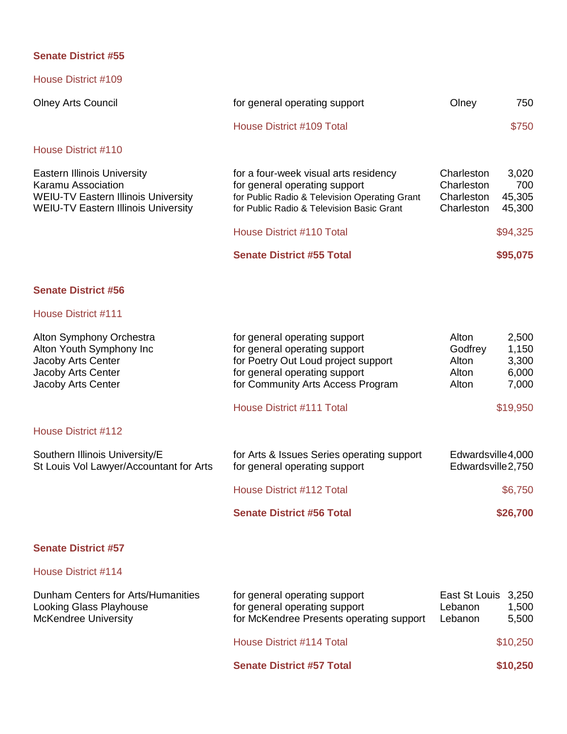| House District #109                                                                                                                                  |                                                                                                                                                                      |                                                      |                                  |
|------------------------------------------------------------------------------------------------------------------------------------------------------|----------------------------------------------------------------------------------------------------------------------------------------------------------------------|------------------------------------------------------|----------------------------------|
| <b>Olney Arts Council</b>                                                                                                                            | for general operating support                                                                                                                                        | Olney                                                | 750                              |
|                                                                                                                                                      | House District #109 Total                                                                                                                                            |                                                      | \$750                            |
| House District #110                                                                                                                                  |                                                                                                                                                                      |                                                      |                                  |
| <b>Eastern Illinois University</b><br>Karamu Association<br><b>WEIU-TV Eastern Illinois University</b><br><b>WEIU-TV Eastern Illinois University</b> | for a four-week visual arts residency<br>for general operating support<br>for Public Radio & Television Operating Grant<br>for Public Radio & Television Basic Grant | Charleston<br>Charleston<br>Charleston<br>Charleston | 3,020<br>700<br>45,305<br>45,300 |
|                                                                                                                                                      | House District #110 Total                                                                                                                                            |                                                      | \$94,325                         |
|                                                                                                                                                      | <b>Senate District #55 Total</b>                                                                                                                                     |                                                      | \$95,075                         |

# **Senate District #56**

## House District #111

| Alton Symphony Orchestra                | for general operating support              | Alton              | 2,500    |
|-----------------------------------------|--------------------------------------------|--------------------|----------|
| Alton Youth Symphony Inc                | for general operating support              | Godfrey            | 1,150    |
| Jacoby Arts Center                      | for Poetry Out Loud project support        | Alton              | 3,300    |
| Jacoby Arts Center                      | for general operating support              | Alton              | 6,000    |
| Jacoby Arts Center                      | for Community Arts Access Program          | Alton              | 7,000    |
|                                         | House District #111 Total                  |                    | \$19,950 |
| House District #112                     |                                            |                    |          |
| Southern Illinois University/E          | for Arts & Issues Series operating support | Edwardsville4,000  |          |
| St Louis Vol Lawyer/Accountant for Arts | for general operating support              | Edwardsville 2,750 |          |
|                                         | House District #112 Total                  |                    | \$6,750  |
|                                         | <b>Senate District #56 Total</b>           |                    | \$26,700 |
|                                         |                                            |                    |          |

# **Senate District #57**

|                                                                                              | <b>Senate District #57 Total</b>                                                                           |                                           | \$10,250       |
|----------------------------------------------------------------------------------------------|------------------------------------------------------------------------------------------------------------|-------------------------------------------|----------------|
|                                                                                              | House District #114 Total                                                                                  |                                           | \$10,250       |
| Dunham Centers for Arts/Humanities<br>Looking Glass Playhouse<br><b>McKendree University</b> | for general operating support<br>for general operating support<br>for McKendree Presents operating support | East St Louis 3,250<br>Lebanon<br>Lebanon | 1,500<br>5,500 |